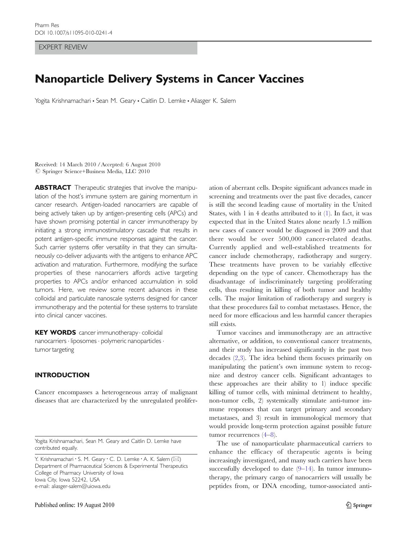EXPERT REVIEW

# Nanoparticle Delivery Systems in Cancer Vaccines

Yogita Krishnamachari • Sean M. Geary • Caitlin D. Lemke • Aliasger K. Salem

Received: 14 March 2010 /Accepted: 6 August 2010  $\oslash$  Springer Science+Business Media, LLC 2010

**ABSTRACT** Therapeutic strategies that involve the manipulation of the host's immune system are gaining momentum in cancer research. Antigen-loaded nanocarriers are capable of being actively taken up by antigen-presenting cells (APCs) and have shown promising potential in cancer immunotherapy by initiating a strong immunostimulatory cascade that results in potent antigen-specific immune responses against the cancer. Such carrier systems offer versatility in that they can simultaneously co-deliver adjuvants with the antigens to enhance APC activation and maturation. Furthermore, modifying the surface properties of these nanocarriers affords active targeting properties to APCs and/or enhanced accumulation in solid tumors. Here, we review some recent advances in these colloidal and particulate nanoscale systems designed for cancer immunotherapy and the potential for these systems to translate into clinical cancer vaccines.

KEY WORDS cancer immunotherapy · colloidal nanocarriers . liposomes . polymeric nanoparticles . tumor targeting

## INTRODUCTION

Cancer encompasses a heterogeneous array of malignant diseases that are characterized by the unregulated proliferation of aberrant cells. Despite significant advances made in screening and treatments over the past five decades, cancer is still the second leading cause of mortality in the United States, with 1 in 4 deaths attributed to it [\(1](#page-16-0)). In fact, it was expected that in the United States alone nearly 1.5 million new cases of cancer would be diagnosed in 2009 and that there would be over 500,000 cancer-related deaths. Currently applied and well-established treatments for cancer include chemotherapy, radiotherapy and surgery. These treatments have proven to be variably effective depending on the type of cancer. Chemotherapy has the disadvantage of indiscriminately targeting proliferating cells, thus resulting in killing of both tumor and healthy cells. The major limitation of radiotherapy and surgery is that these procedures fail to combat metastases. Hence, the need for more efficacious and less harmful cancer therapies still exists.

Tumor vaccines and immunotherapy are an attractive alternative, or addition, to conventional cancer treatments, and their study has increased significantly in the past two decades ([2,3](#page-16-0)). The idea behind them focuses primarily on manipulating the patient's own immune system to recognize and destroy cancer cells. Significant advantages to these approaches are their ability to 1) induce specific killing of tumor cells, with minimal detriment to healthy, non-tumor cells, 2) systemically stimulate anti-tumor immune responses that can target primary and secondary metastases, and 3) result in immunological memory that would provide long-term protection against possible future tumor recurrences ([4](#page-17-0)–[8\)](#page-17-0).

The use of nanoparticulate pharmaceutical carriers to enhance the efficacy of therapeutic agents is being increasingly investigated, and many such carriers have been successfully developed to date  $(9-14)$  $(9-14)$  $(9-14)$  $(9-14)$ . In tumor immunotherapy, the primary cargo of nanocarriers will usually be peptides from, or DNA encoding, tumor-associated anti-

Yogita Krishnamachari, Sean M. Geary and Caitlin D. Lemke have contributed equally.

Y. Krishnamachari · S. M. Geary · C. D. Lemke · A. K. Salem  $(\boxtimes)$ Department of Pharmaceutical Sciences & Experimental Therapeutics College of Pharmacy University of Iowa Iowa City, Iowa 52242, USA e-mail: aliasger-salem@uiowa.edu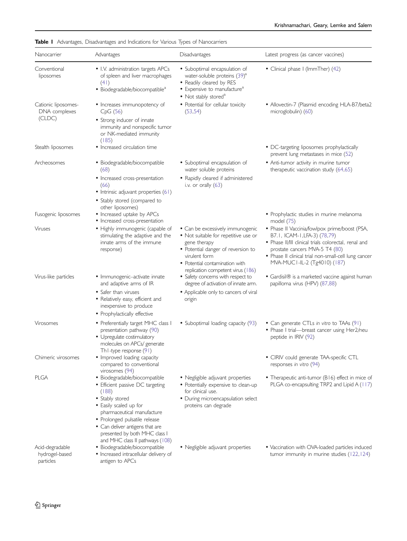| Nanocarrier                                    | Advantages                                                                                                                                                                                                                                                                                    | Disadvantages                                                                                                                                                                                                          | Latest progress (as cancer vaccines)                                                                                                                                                                                                                            |
|------------------------------------------------|-----------------------------------------------------------------------------------------------------------------------------------------------------------------------------------------------------------------------------------------------------------------------------------------------|------------------------------------------------------------------------------------------------------------------------------------------------------------------------------------------------------------------------|-----------------------------------------------------------------------------------------------------------------------------------------------------------------------------------------------------------------------------------------------------------------|
|                                                |                                                                                                                                                                                                                                                                                               |                                                                                                                                                                                                                        |                                                                                                                                                                                                                                                                 |
| Conventional<br>liposomes                      | • I.V. administration targets APCs<br>of spleen and liver macrophages<br>(41)<br>· Biodegradable/biocompatible <sup>a</sup>                                                                                                                                                                   | · Suboptimal encapsulation of<br>water-soluble proteins (39) <sup>a</sup><br>• Readily cleared by RES<br>• Expensive to manufacture <sup>a</sup><br>• Not stably stored <sup>a</sup>                                   | • Clinical phase I (ImmTher) (42)                                                                                                                                                                                                                               |
| Cationic liposomes-<br>DNA complexes<br>(CLDC) | • Increases immunopotency of<br>CpG (56)<br>• Strong inducer of innate<br>immunity and nonspecific tumor<br>or NK-mediated immunity<br>(185)                                                                                                                                                  | • Potential for cellular toxicity<br>(53, 54)                                                                                                                                                                          | • Allovectin-7 (Plasmid encoding HLA-B7/beta2<br>microglobulin) (60)                                                                                                                                                                                            |
| Stealth liposomes                              | • Increased circulation time                                                                                                                                                                                                                                                                  |                                                                                                                                                                                                                        | • DC-targeting liposomes prophylactically<br>prevent lung metastases in mice (52)                                                                                                                                                                               |
| Archeosomes                                    | • Biodegradable/biocompatible<br>(68)                                                                                                                                                                                                                                                         | • Suboptimal encapsulation of<br>water soluble proteins                                                                                                                                                                | • Anti-tumor activity in murine tumor<br>therapeutic vaccination study (64,65)                                                                                                                                                                                  |
|                                                | • Increased cross-presentation<br>(66)<br>• Intrinsic adjuvant properties (61)<br>• Stably stored (compared to<br>other liposomes)                                                                                                                                                            | • Rapidly cleared if administered<br>i.v. or orally $(63)$                                                                                                                                                             |                                                                                                                                                                                                                                                                 |
| Fusogenic liposomes                            | • Increased uptake by APCs<br>• Increased cross-presentation                                                                                                                                                                                                                                  |                                                                                                                                                                                                                        | • Prophylactic studies in murine melanoma<br>model $(75)$                                                                                                                                                                                                       |
| <b>Viruses</b>                                 | · Highly immunogenic (capable of<br>stimulating the adaptive and the<br>innate arms of the immune<br>response)                                                                                                                                                                                | • Can be excessively immunogenic<br>• Not suitable for repetitive use or<br>gene therapy<br>• Potential danger of reversion to<br>virulent form<br>• Potential contamination with<br>replication competent virus (186) | • Phase II Vaccinia/fowlpox prime/boost (PSA,<br>B7.1, ICAM-1, LFA-3) (78,79)<br>• Phase II/III clinical trials colorectal, renal and<br>prostate cancers MVA-5 T4 (80)<br>· Phase II clinical trial non-small-cell lung cancer<br>MVA-MUCI-IL-2 (Tg4010) (187) |
| Virus-like particles                           | • Immunogenic-activate innate<br>and adaptive arms of IR                                                                                                                                                                                                                                      | • Safety concerns with respect to<br>degree of activation of innate arm.                                                                                                                                               | • Gardisil® is a marketed vaccine against human<br>papilloma virus (HPV) (87,88)                                                                                                                                                                                |
|                                                | • Safer than viruses<br>• Relatively easy, efficient and<br>inexpensive to produce<br>• Prophylactically effective                                                                                                                                                                            | • Applicable only to cancers of viral<br>origin                                                                                                                                                                        |                                                                                                                                                                                                                                                                 |
| Virosomes                                      | • Preferentially target MHC class I<br>presentation pathway (90)<br>• Upregulate costimulatory<br>molecules on APCs/ generate<br>Th I-type response (91)                                                                                                                                      | • Suboptimal loading capacity (93)                                                                                                                                                                                     | • Can generate CTLs in vitro to TAAs (91)<br>• Phase I trial-breast cancer using Her2/neu<br>peptide in IRIV (92)                                                                                                                                               |
| Chimeric virosomes                             | • Improved loading capacity<br>compared to conventional<br>virosomes (94)                                                                                                                                                                                                                     |                                                                                                                                                                                                                        | • CIRIV could generate TAA-specific CTL<br>responses in vitro (94)                                                                                                                                                                                              |
| PLGA                                           | · Biodegradable/biocompatible<br>• Efficient passive DC targeting<br>(188)<br>• Stably stored<br>• Easily scaled up for<br>pharmaceutical manufacture<br>• Prolonged pulsatile release<br>• Can deliver antigens that are<br>presented by both MHC class I<br>and MHC class II pathways (108) | • Negligible adjuvant properties<br>· Potentially expensive to clean-up<br>for clinical use.<br>· During microencapsulation select<br>proteins can degrade                                                             | • Therapeutic anti-tumor (B16) effect in mice of<br>PLGA co-encapsulting TRP2 and Lipid A (117)                                                                                                                                                                 |
| Acid-degradable<br>hydrogel-based<br>particles | · Biodegradable/biocompatible<br>· Increased intracellular delivery of<br>antigen to APCs                                                                                                                                                                                                     | • Negligible adjuvant properties                                                                                                                                                                                       | · Vaccination with OVA-loaded particles induced<br>tumor immunity in murine studies (122,124)                                                                                                                                                                   |

<span id="page-1-0"></span>Table I Advantages, Disadvantages and Indications for Various Types of Nanocarriers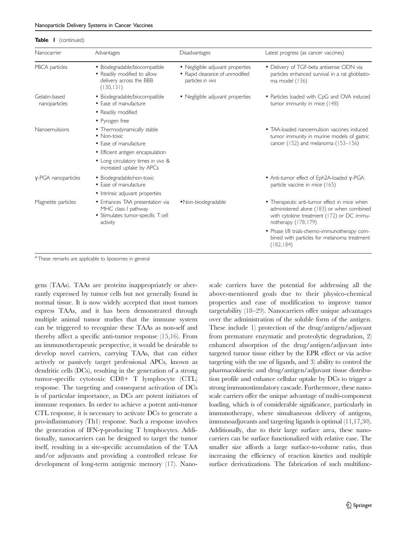#### Table I (continued)

| Nanocarrier                    | Advantages                                                                                               | Disadvantages                                                                            | Latest progress (as cancer vaccines)                                                                                                                           |
|--------------------------------|----------------------------------------------------------------------------------------------------------|------------------------------------------------------------------------------------------|----------------------------------------------------------------------------------------------------------------------------------------------------------------|
| PBCA particles                 | • Biodegradable/biocompatible<br>• Readily modified to allow<br>delivery across the BBB<br>(130, 131)    | • Negligible adjuvant properties<br>• Rapid clearance of unmodified<br>particles in vivo | • Delivery of TGF-beta antisense ODN via<br>particles enhanced survival in a rat glioblasto-<br>ma model (136)                                                 |
| Gelatin-based<br>nanoparticles | • Biodegradable/biocompatible<br>• Ease of manufacture                                                   | • Negligible adjuvant properties                                                         | • Particles loaded with CpG and OVA induced<br>tumor immunity in mice (148)                                                                                    |
|                                | • Readily modified                                                                                       |                                                                                          |                                                                                                                                                                |
|                                | • Pyrogen free                                                                                           |                                                                                          |                                                                                                                                                                |
| <b>Nanoemulsions</b>           | • Thermodynamically stable<br>• Non-toxic<br>• Ease of manufacture                                       |                                                                                          | • TAA-loaded nanoemulsion vaccines induced<br>tumor immunity in murine models of gastric<br>cancer (152) and melanoma (153-156)                                |
|                                | • Efficient antigen encapsulation<br>• Long circulatory times in vivo &                                  |                                                                                          |                                                                                                                                                                |
|                                | increased uptake by APCs                                                                                 |                                                                                          |                                                                                                                                                                |
| y-PGA nanoparticles            | • Biodegradable/non-toxic<br>• Ease of manufacture                                                       |                                                                                          | • Anti-tumor effect of Eph2A-loaded y-PGA<br>particle vaccine in mice (165)                                                                                    |
|                                | • Intrinsic adjuvant properties                                                                          |                                                                                          |                                                                                                                                                                |
| Magnetite particles            | · Enhances TAA presentation via<br>MHC class I pathway<br>· Stimulates tumor-specific T cell<br>activity | • Non-biodegradable                                                                      | • Therapeutic anti-tumor effect in mice when<br>administered alone (183) or when combined<br>with cytokine treatment (172) or DC immu-<br>notherapy (178, 179) |
|                                |                                                                                                          |                                                                                          | · Phase I/II trials-chemo-immunotherapy com-<br>bined with particles for melanoma treatment<br>(182, 184)                                                      |

 $a<sup>a</sup>$  These remarks are applicable to liposomes in general

gens (TAAs). TAAs are proteins inappropriately or aberrantly expressed by tumor cells but not generally found in normal tissue. It is now widely accepted that most tumors express TAAs, and it has been demonstrated through multiple animal tumor studies that the immune system can be triggered to recognize these TAAs as non-self and thereby affect a specific anti-tumor response [\(15](#page-17-0),[16\)](#page-17-0). From an immunotherapeutic perspective, it would be desirable to develop novel carriers, carrying TAAs, that can either actively or passively target professional APCs, known as dendritic cells (DCs), resulting in the generation of a strong tumor-specific cytotoxic CD8+ T lymphocyte (CTL) response. The targeting and consequent activation of DCs is of particular importance, as DCs are potent initiators of immune responses. In order to achieve a potent anti-tumor CTL response, it is necessary to activate DCs to generate a pro-inflammatory (Th1) response. Such a response involves the generation of IFN-γ-producing T lymphocytes. Additionally, nanocarriers can be designed to target the tumor itself, resulting in a site-specific accumulation of the TAA and/or adjuvants and providing a controlled release for development of long-term antigenic memory [\(17](#page-17-0)). Nanoscale carriers have the potential for addressing all the above-mentioned goals due to their physico-chemical properties and ease of modification to improve tumor targetability [\(18](#page-17-0)–[29](#page-17-0)). Nanocarriers offer unique advantages over the administration of the soluble form of the antigen. These include 1) protection of the drug/antigen/adjuvant from premature enzymatic and proteolytic degradation, 2) enhanced absorption of the drug/antigen/adjuvant into targeted tumor tissue either by the EPR effect or via active targeting with the use of ligands, and 3) ability to control the pharmacokinetic and drug/antigen/adjuvant tissue distribution profile and enhance cellular uptake by DCs to trigger a strong immunostimulatory cascade. Furthermore, these nanoscale carriers offer the unique advantage of multi-component loading, which is of considerable significance, particularly in immunotherapy, where simultaneous delivery of antigens, immunoadjuvants and targeting ligands is optimal [\(11,17](#page-17-0),[30](#page-17-0)). Additionally, due to their large surface area, these nanocarriers can be surface functionalized with relative ease. The smaller size affords a large surface-to-volume ratio, thus increasing the efficiency of reaction kinetics and multiple surface derivatizations. The fabrication of such multifunc-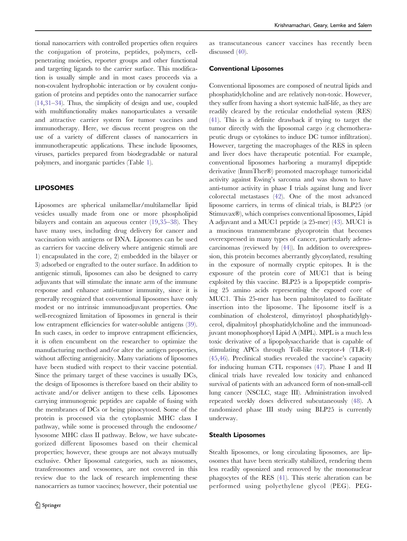tional nanocarriers with controlled properties often requires the conjugation of proteins, peptides, polymers, cellpenetrating moieties, reporter groups and other functional and targeting ligands to the carrier surface. This modification is usually simple and in most cases proceeds via a non-covalent hydrophobic interaction or by covalent conjugation of proteins and peptides onto the nanocarrier surface [\(14,31](#page-17-0)–[34\)](#page-17-0). Thus, the simplicity of design and use, coupled with multifunctionality makes nanoparticulates a versatile and attractive carrier system for tumor vaccines and immunotherapy. Here, we discuss recent progress on the use of a variety of different classes of nanocarriers in immunotherapeutic applications. These include liposomes, viruses, particles prepared from biodegradable or natural polymers, and inorganic particles (Table [1](#page-1-0)).

# LIPOSOMES

Liposomes are spherical unilamellar/multilamellar lipid vesicles usually made from one or more phospholipid bilayers and contain an aqueous center ([19,35](#page-17-0)–[38\)](#page-17-0). They have many uses, including drug delivery for cancer and vaccination with antigens or DNA. Liposomes can be used as carriers for vaccine delivery where antigenic stimuli are 1) encapsulated in the core, 2) embedded in the bilayer or 3) adsorbed or engrafted to the outer surface. In addition to antigenic stimuli, liposomes can also be designed to carry adjuvants that will stimulate the innate arm of the immune response and enhance anti-tumor immunity, since it is generally recognized that conventional liposomes have only modest or no intrinsic immunoadjuvant properties. One well-recognized limitation of liposomes in general is their low entrapment efficiencies for water-soluble antigens [\(39](#page-17-0)). In such cases, in order to improve entrapment efficiencies, it is often encumbent on the researcher to optimize the manufacturing method and/or alter the antigen properties, without affecting antigenicity. Many variations of liposomes have been studied with respect to their vaccine potential. Since the primary target of these vaccines is usually DCs, the design of liposomes is therefore based on their ability to activate and/or deliver antigen to these cells. Liposomes carrying immunogenic peptides are capable of fusing with the membranes of DCs or being pinocytosed. Some of the protein is processed via the cytoplasmic MHC class I pathway, while some is processed through the endosome/ lysosome MHC class II pathway. Below, we have subcategorized different liposomes based on their chemical properties; however, these groups are not always mutually exclusive. Other liposomal categories, such as niosomes, transferosomes and vesosomes, are not covered in this review due to the lack of research implementing these nanocarriers as tumor vaccines; however, their potential use as transcutaneous cancer vaccines has recently been discussed [\(40](#page-17-0)).

#### Conventional Liposomes

Conventional liposomes are composed of neutral lipids and phosphatidylcholine and are relatively non-toxic. However, they suffer from having a short systemic half-life, as they are readily cleared by the reticular endothelial system (RES) ([41\)](#page-17-0). This is a definite drawback if trying to target the tumor directly with the liposomal cargo (e.g chemotherapeutic drugs or cytokines to induce DC tumor infiltration). However, targeting the macrophages of the RES in spleen and liver does have therapeutic potential. For example, conventional liposomes harboring a muramyl dipeptide derivative (ImmTher®) promoted macrophage tumoricidal activity against Ewing's sarcoma and was shown to have anti-tumor activity in phase I trials against lung and liver colorectal metastases [\(42](#page-17-0)). One of the most advanced liposome carriers, in terms of clinical trials, is BLP25 (or Stimuvax®), which comprises conventional liposomes, Lipid A adjuvant and a MUC1 peptide (a 25-mer) [\(43](#page-17-0)). MUC1 is a mucinous transmembrane glycoprotein that becomes overexpressed in many types of cancer, particularly adenocarcinomas (reviewed by [\(44](#page-17-0))). In addition to overexpression, this protein becomes aberrantly glycosylated, resulting in the exposure of normally cryptic epitopes. It is the exposure of the protein core of MUC1 that is being exploited by this vaccine. BLP25 is a lipopeptide comprising 25 amino acids representing the exposed core of MUC1. This 25-mer has been palmitoylated to facilitate insertion into the liposome. The liposome itself is a combination of cholesterol, dimyristoyl phosphatidylglycerol, dipalmitoyl phosphatidylcholine and the immunoadjuvant monophosphoryl Lipid A (MPL). MPL is a much less toxic derivative of a lipopolysaccharide that is capable of stimulating APCs through Toll-like receptor-4 (TLR-4) ([45,46\)](#page-17-0). Preclinical studies revealed the vaccine's capacity for inducing human CTL responses ([47\)](#page-17-0). Phase I and II clinical trials have revealed low toxicity and enhanced survival of patients with an advanced form of non-small-cell lung cancer (NSCLC, stage III). Administration involved repeated weekly doses delivered subcutaneously ([48\)](#page-17-0). A randomized phase III study using BLP25 is currently underway.

#### Stealth Liposomes

Stealth liposomes, or long circulating liposomes, are liposomes that have been sterically stabilized, rendering them less readily opsonized and removed by the mononuclear phagocytes of the RES [\(41\)](#page-17-0). This steric alteration can be performed using polyethylene glycol (PEG). PEG-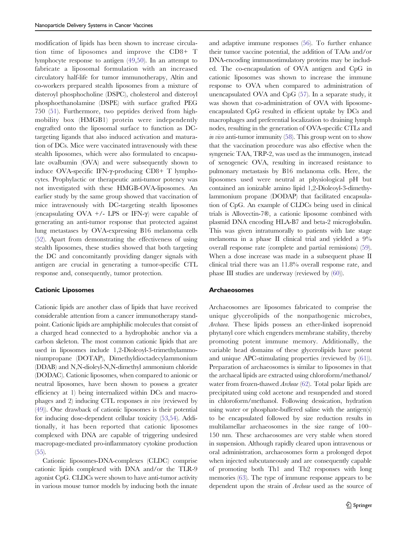modification of lipids has been shown to increase circulation time of liposomes and improve the CD8+ T lymphocyte response to antigen ([49,50](#page-17-0)). In an attempt to fabricate a liposomal formulation with an increased circulatory half-life for tumor immunotherapy, Altin and co-workers prepared stealth liposomes from a mixture of disteroyl phosphocholine (DSPC), cholesterol and disteroyl phosphoethanolamine (DSPE) with surface grafted PEG 750 [\(51](#page-18-0)). Furthermore, two peptides derived from highmobility box (HMGB1) protein were independently engrafted onto the liposomal surface to function as DCtargeting ligands that also induced activation and maturation of DCs. Mice were vaccinated intravenously with these stealth liposomes, which were also formulated to encapsulate ovalbumin (OVA) and were subsequently shown to induce OVA-specific IFN-γ-producing CD8+ T lymphocytes. Prophylactic or therapeutic anti-tumor potency was not investigated with these HMGB-OVA-liposomes. An earlier study by the same group showed that vaccination of mice intravenously with DC-targeting stealth liposomes (encapsulating OVA +/- LPS or IFN- $\gamma$ ) were capable of generating an anti-tumor response that protected against lung metastases by OVA-expressing B16 melanoma cells [\(52](#page-18-0)). Apart from demonstrating the effectiveness of using stealth liposomes, these studies showed that both targeting the DC and concomitantly providing danger signals with antigen are crucial in generating a tumor-specific CTL response and, consequently, tumor protection.

### Cationic Liposomes

Cationic lipids are another class of lipids that have received considerable attention from a cancer immunotherapy standpoint. Cationic lipids are amphiphilic molecules that consist of a charged head connected to a hydrophobic anchor via a carbon skeleton. The most common cationic lipids that are used in liposomes include 1,2-Dioleoyl-3-trimethylammoniumpropane (DOTAP), Dimethyldioctadecylammonium (DDAB) and N,N-dioleyl-N,N-dimethyl ammonium chloride (DODAC). Cationic liposomes, when compared to anionic or neutral liposomes, have been shown to possess a greater efficiency at 1) being internalized within DCs and macrophages and 2) inducing CTL responses in vivo (reviewed by [\(49](#page-17-0))). One drawback of cationic liposomes is their potential for inducing dose-dependent cellular toxicity [\(53,54](#page-18-0)). Additionally, it has been reported that cationic liposomes complexed with DNA are capable of triggering undesired macropage-mediated pro-inflammatory cytokine production [\(55](#page-18-0)).

Cationic liposomes-DNA-complexes (CLDC) comprise cationic lipids complexed with DNA and/or the TLR-9 agonist CpG. CLDCs were shown to have anti-tumor activity in various mouse tumor models by inducing both the innate and adaptive immune responses [\(56](#page-18-0)). To further enhance their tumor vaccine potential, the addition of TAAs and/or DNA-encoding immunostimulatory proteins may be included. The co-encapsulation of OVA antigen and CpG in cationic liposomes was shown to increase the immune response to OVA when compared to administration of unencapsulated OVA and CpG [\(57\)](#page-18-0). In a separate study, it was shown that co-administration of OVA with liposomeencapsulated CpG resulted in efficient uptake by DCs and macrophages and preferential localization to draining lymph nodes, resulting in the generation of OVA-specific CTLs and  $\dot{m}$  *in vivo* anti-tumor immunity [\(58](#page-18-0)). This group went on to show that the vaccination procedure was also effective when the syngeneic TAA, TRP-2, was used as the immunogen, instead of xenogeneic OVA, resulting in increased resistance to pulmonary metastasis by B16 melanoma cells. Here, the liposomes used were neutral at physiological pH but contained an ionizable amino lipid 1,2-Dioleoyl-3-dimethylammonium propane (DODAP) that facilitated encapsulation of CpG. An example of CLDCs being used in clinical trials is Allovectin-7®, a cationic liposome combined with plasmid DNA encoding HLA-B7 and beta-2 microglobulin. This was given intratumorally to patients with late stage melanoma in a phase II clinical trial and yielded a 9% overall response rate (complete and partial remissions) ([59](#page-18-0)). When a dose increase was made in a subsequent phase II clinical trial there was an 11.8% overall response rate, and phase III studies are underway (reviewed by [\(60\)](#page-18-0)).

## Archaeosomes

Archaeosomes are liposomes fabricated to comprise the unique glycerolipids of the nonpathogenic microbes, Archaea. These lipids possess an ether-linked isoprenoid phytanyl core which engenders membrane stability, thereby promoting potent immune memory. Additionally, the variable head domains of these glycerolipids have potent and unique APC-stimulating properties (reviewed by ([61\)](#page-18-0)). Preparation of archaeosomes is similar to liposomes in that the archaeal lipids are extracted using chloroform/methanol/ water from frozen-thawed Archeae ([62](#page-18-0)). Total polar lipids are precipitated using cold acetone and resuspended and stored in chloroform/methanol. Following dessication, hydration using water or phosphate-buffered saline with the antigen(s) to be encapsulated followed by size reduction results in multilamellar archaeosomes in the size range of 100– 150 nm. These archaeosomes are very stable when stored in suspension. Although rapidly cleared upon intravenous or oral administration, archaeosomes form a prolonged depot when injected subcutaneously and are consequently capable of promoting both Th1 and Th2 responses with long memories ([63\)](#page-18-0). The type of immune response appears to be dependent upon the strain of Archeae used as the source of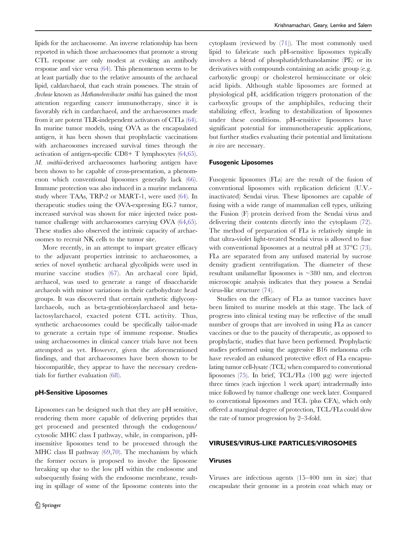lipids for the archaeosome. An inverse relationship has been reported in which those archaeosomes that promote a strong CTL response are only modest at evoking an antibody response and vice versa [\(64](#page-18-0)). This phenomenon seems to be at least partially due to the relative amounts of the archaeal lipid, caldarchaeol, that each strain possesses. The strain of Archeae known as Methanobrevibacter smithii has gained the most attention regarding cancer immunotherapy, since it is favorably rich in cardarchaeol, and the archaeosomes made from it are potent TLR-independent activators of CTLs ([64](#page-18-0)). In murine tumor models, using OVA as the encapsulated antigen, it has been shown that prophylactic vaccinations with archaeosomes increased survival times through the activation of antigen-specific CD8+ T lymphocytes [\(64](#page-18-0),[65](#page-18-0)). M. smithii-derived archaeosomes harboring antigen have been shown to be capable of cross-presentation, a phenomenon which conventional liposomes generally lack [\(66](#page-18-0)). Immune protection was also induced in a murine melanoma study where TAAs, TRP-2 or MART-1, were used ([64](#page-18-0)). In therapeutic studies using the OVA-expressing EG.7 tumor, increased survival was shown for mice injected twice posttumor challenge with archaeosomes carrying OVA [\(64](#page-18-0),[65](#page-18-0)). These studies also observed the intrinsic capacity of archaeosomes to recruit NK cells to the tumor site.

More recently, in an attempt to impart greater efficacy to the adjuvant properties intrinsic to archaeosomes, a series of novel synthetic archaeal glycolipids were used in murine vaccine studies [\(67\)](#page-18-0). An archaeal core lipid, archaeol, was used to generate a range of disaccharide archaeols with minor variations in their carbohydrate head groups. It was discovered that certain synthetic diglycosylarchaeols, such as beta-gentiobiosylarchaeol and betalactosylarchaeol, exacted potent CTL activity. Thus, synthetic archaeosomes could be specifically tailor-made to generate a certain type of immune response. Studies using archaeosomes in clinical cancer trials have not been attempted as yet. However, given the aforementioned findings, and that archaeosomes have been shown to be biocompatible, they appear to have the necessary credentials for further evaluation ([68\)](#page-18-0).

#### pH-Sensitive Liposomes

Liposomes can be designed such that they are pH sensitive, rendering them more capable of delivering peptides that get processed and presented through the endogenous/ cytosolic MHC class I pathway, while, in comparison, pHinsensitive liposomes tend to be processed through the MHC class II pathway [\(69](#page-18-0),[70\)](#page-18-0). The mechanism by which the former occurs is proposed to involve the liposome breaking up due to the low pH within the endosome and subsequently fusing with the endosome membrane, resulting in spillage of some of the liposome contents into the cytoplasm (reviewed by [\(71](#page-18-0))). The most commonly used lipid to fabricate such pH-sensitive liposomes typically involves a blend of phosphatidylethanolamine (PE) or its derivatives with compounds containing an acidic group (e.g. carboxylic group) or cholesterol hemisuccinate or oleic acid lipids. Although stable liposomes are formed at physiological pH, acidification triggers protonation of the carboxylic groups of the amphiphiles, reducing their stabilizing effect, leading to destabilization of liposomes under these conditions. pH-sensitive liposomes have significant potential for immunotherapeutic applications, but further studies evaluating their potential and limitations in vivo are necessary.

#### Fusogenic Liposomes

Fusogenic liposomes (FLs) are the result of the fusion of conventional liposomes with replication deficient (U.V. inactivated) Sendai virus. These liposomes are capable of fusing with a wide range of mammalian cell types, utilizing the Fusion (F) protein derived from the Sendai virus and delivering their contents directly into the cytoplasm [\(72](#page-18-0)). The method of preparation of FLs is relatively simple in that ultra-violet light-treated Sendai virus is allowed to fuse with conventional liposomes at a neutral pH at 37°C [\(73](#page-18-0)). FLs are separated from any unfused material by sucrose density gradient centrifugation. The diameter of these resultant unilamellar liposomes is ~380 nm, and electron microscopic analysis indicates that they possess a Sendai virus-like structure [\(74](#page-18-0)).

Studies on the efficacy of FLs as tumor vaccines have been limited to murine models at this stage. The lack of progress into clinical testing may be reflective of the small number of groups that are involved in using FLs as cancer vaccines or due to the paucity of therapeutic, as opposed to prophylactic, studies that have been performed. Prophylactic studies performed using the aggressive B16 melanoma cells have revealed an enhanced protective effect of FLs encapsulating tumor cell-lysate (TCL) when compared to conventional liposomes [\(75\)](#page-18-0). In brief, TCL/FLs (100 μg) were injected three times (each injection 1 week apart) intradermally into mice followed by tumor challenge one week later. Compared to conventional liposomes and TCL (plus CFA), which only offered a marginal degree of protection, TCL/FLs could slow the rate of tumor progression by 2–3-fold.

#### VIRUSES/VIRUS-LIKE PARTICLES/VIROSOMES

# Viruses

Viruses are infectious agents (15–400 nm in size) that encapsulate their genome in a protein coat which may or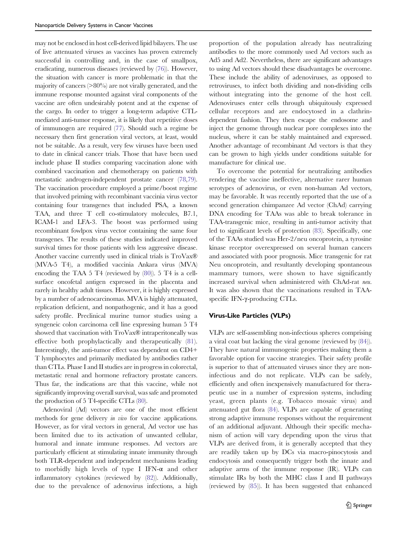may not be enclosed in host cell-derived lipid bilayers. The use of live attenuated viruses as vaccines has proven extremely successful in controlling and, in the case of smallpox, eradicating, numerous diseases (reviewed by [\(76](#page-18-0))). However, the situation with cancer is more problematic in that the majority of cancers (>80%) are not virally generated, and the immune response mounted against viral components of the vaccine are often undesirably potent and at the expense of the cargo. In order to trigger a long-term adaptive CTLmediated anti-tumor response, it is likely that repetitive doses of immunogen are required [\(77\)](#page-18-0). Should such a regime be necessary then first generation viral vectors, at least, would not be suitable. As a result, very few viruses have been used to date in clinical cancer trials. Those that have been used include phase II studies comparing vaccination alone with combined vaccination and chemotherapy on patients with metastatic androgen-independent prostate cancer [\(78](#page-18-0),[79](#page-18-0)). The vaccination procedure employed a prime/boost regime that involved priming with recombinant vaccinia virus vector containing four transgenes that included PSA, a known TAA, and three T cell co-stimulatory molecules, B7.1, ICAM-1 and LFA-3. The boost was performed using recombinant fowlpox virus vector containing the same four transgenes. The results of these studies indicated improved survival times for those patients with less aggressive disease. Another vaccine currently used in clinical trials is TroVax® (MVA-5 T4), a modified vaccinia Ankara virus (MVA) encoding the TAA 5 T4 (reviewed by ([80](#page-18-0))). 5 T4 is a cellsurface oncofetal antigen expressed in the placenta and rarely in healthy adult tissues. However, it is highly expressed by a number of adenocarcinomas. MVA is highly attenuated, replication deficient, and nonpathogenic, and it has a good safety profile. Preclinical murine tumor studies using a syngeneic colon carcinoma cell line expressing human 5 T4 showed that vaccination with  $T_{\text{ro}}V$ ax® intraperitoneally was effective both prophylactically and therapeutically ([81](#page-18-0)). Interestingly, the anti-tumor effect was dependent on CD4+ T lymphocytes and primarily mediated by antibodies rather than CTLs. Phase I and II studies are in progress in colorectal, metastatic renal and hormone refractory prostate cancers. Thus far, the indications are that this vaccine, while not significantly improving overall survival, was safe and promoted the production of 5 T4-specific CTLs ([80](#page-18-0)).

Adenoviral (Ad) vectors are one of the most efficient methods for gene delivery *in vivo* for vaccine applications. However, as for viral vectors in general, Ad vector use has been limited due to its activation of unwanted cellular, humoral and innate immune responses. Ad vectors are particularly efficient at stimulating innate immunity through both TLR-dependent and independent mechanisms leading to morbidly high levels of type I IFN-α and other inflammatory cytokines (reviewed by ([82\)](#page-18-0)). Additionally, due to the prevalence of adenovirus infections, a high proportion of the population already has neutralizing antibodies to the more commonly used Ad vectors such as Ad5 and Ad2. Nevertheless, there are significant advantages to using Ad vectors should these disadvantages be overcome. These include the ability of adenoviruses, as opposed to retroviruses, to infect both dividing and non-dividing cells without integrating into the genome of the host cell. Adenoviruses enter cells through ubiquitously expressed cellular receptors and are endocytosed in a clathrindependent fashion. They then escape the endosome and inject the genome through nuclear pore complexes into the nucleus, where it can be stably maintained and expressed. Another advantage of recombinant Ad vectors is that they can be grown to high yields under conditions suitable for manufacture for clinical use.

To overcome the potential for neutralizing antibodies rendering the vaccine ineffective, alternative rarer human serotypes of adenovirus, or even non-human Ad vectors, may be favorable. It was recently reported that the use of a second generation chimpanzee Ad vector (ChAd) carrying DNA encoding for TAAs was able to break tolerance in TAA-transgenic mice, resulting in anti-tumor activity that led to significant levels of protection [\(83](#page-18-0)). Specifically, one of the TAAs studied was Her-2/neu oncoprotein, a tyrosine kinase receptor overexpressed on several human cancers and associated with poor prognosis. Mice transgenic for rat Neu oncoprotein, and resultantly developing spontaneous mammary tumors, were shown to have significantly increased survival when administered with ChAd-rat neu. It was also shown that the vaccinations resulted in TAAspecific IFN-γ-producing CTLs.

#### Virus-Like Particles (VLPs)

VLPs are self-assembling non-infectious spheres comprising a viral coat but lacking the viral genome (reviewed by ([84\)](#page-18-0)). They have natural immunogenic properties making them a favorable option for vaccine strategies. Their safety profile is superior to that of attenuated viruses since they are noninfectious and do not replicate. VLPs can be safely, efficiently and often inexpensively manufactured for therapeutic use in a number of expression systems, including yeast, green plants (e.g. Tobacco mosaic virus) and attenuated gut flora [\(84](#page-18-0)). VLPs are capable of generating strong adaptive immune responses without the requirement of an additional adjuvant. Although their specific mechanism of action will vary depending upon the virus that VLPs are derived from, it is generally accepted that they are readily taken up by DCs via macro-pinocytosis and endocytosis and consequently trigger both the innate and adaptive arms of the immune response (IR). VLPs can stimulate IRs by both the MHC class I and II pathways (reviewed by [\(85](#page-18-0))). It has been suggested that enhanced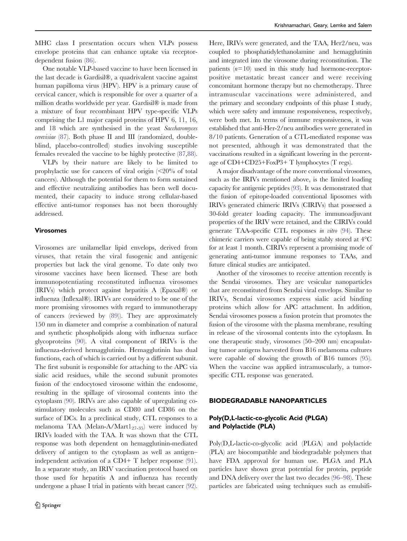MHC class I presentation occurs when VLPs possess envelope proteins that can enhance uptake via receptordependent fusion ([86\)](#page-18-0).

One notable VLP-based vaccine to have been licensed in the last decade is Gardisil®, a quadrivalent vaccine against human papilloma virus (HPV). HPV is a primary cause of cervical cancer, which is responsible for over a quarter of a million deaths worldwide per year. Gardisil® is made from a mixture of four recombinant HPV type-specific VLPs comprising the L1 major capsid proteins of HPV 6, 11, 16, and 18 which are synthesised in the yeast Saccharomyces cerevisiae ([87\)](#page-18-0). Both phase II and III (randomized, doubleblind, placebo-controlled) studies involving susceptible females revealed the vaccine to be highly protective ([87](#page-18-0)[,88](#page-19-0)).

VLPs by their nature are likely to be limited to prophylactic use for cancers of viral origin (<20% of total cancers). Although the potential for them to form sustained and effective neutralizing antibodies has been well documented, their capacity to induce strong cellular-based effective anti-tumor responses has not been thoroughly addressed.

## Virosomes

Virosomes are unilamellar lipid envelops, derived from viruses, that retain the viral fusogenic and antigenic properties but lack the viral genome. To date only two virosome vaccines have been licensed. These are both immunopotentiating reconstituted influenza virosomes (IRIVs) which protect against hepatitis A (Epaxal®) or influenza (Inflexal®). IRIVs are considered to be one of the more promising virosomes with regard to immunotherapy of cancers (reviewed by [\(89](#page-19-0))). They are approximately 150 nm in diameter and comprise a combination of natural and synthetic phospholipids along with influenza surface glycoproteins [\(90](#page-19-0)). A vital component of IRIVs is the influenza-derived hemagglutinin. Hemagglutinin has dual functions, each of which is carried out by a different subunit. The first subunit is responsible for attaching to the APC via sialic acid residues, while the second subunit promotes fusion of the endocytosed virosome within the endosome, resulting in the spillage of virosomal contents into the cytoplasm [\(90](#page-19-0)). IRIVs are also capable of upregulating costimulatory molecules such as CD80 and CD86 on the surface of DCs. In a preclinical study, CTL responses to a melanoma TAA (Melan-A/Mart1 $_{27-35}$ ) were induced by IRIVs loaded with the TAA. It was shown that the CTL response was both dependent on hemagglutinin-mediated delivery of antigen to the cytoplasm as well as antigen– independent activation of a CD4+ T helper response [\(91](#page-19-0)). In a separate study, an IRIV vaccination protocol based on those used for hepatitis A and influenza has recently undergone a phase I trial in patients with breast cancer ([92](#page-19-0)).

Here, IRIVs were generated, and the TAA, Her2/neu, was coupled to phosphatidylethanolamine and hemagglutinin and integrated into the virosome during reconstitution. The patients  $(n=10)$  used in this study had hormone-receptorpositive metastatic breast cancer and were receiving concomitant hormone therapy but no chemotherapy. Three intramuscular vaccinations were administered, and the primary and secondary endpoints of this phase I study, which were safety and immune responsiveness, respectively, were both met. In terms of immune responsiveness, it was established that anti-Her-2/neu antibodies were generated in 8/10 patients. Generation of a CTL-mediated response was not presented, although it was demonstrated that the vaccinations resulted in a significant lowering in the percentage of CD4+CD25+FoxP3+ T lymphocytes (T regs).

A major disadvantage of the more conventional virosomes, such as the IRIVs mentioned above, is the limited loading capacity for antigenic peptides ([93](#page-19-0)). It was demonstrated that the fusion of epitope-loaded conventional liposomes with IRIVs generated chimeric IRIVs (CIRIVs) that possessed a 30-fold greater loading capacity. The immunoadjuvant properties of the IRIV were retained, and the CIRIVs could generate TAA-specific CTL responses in vitro ([94\)](#page-19-0). These chimeric carriers were capable of being stably stored at 4°C for at least 1 month. CIRIVs represent a promising mode of generating anti-tumor immune responses to TAAs, and future clinical studies are anticipated.

Another of the virosomes to receive attention recently is the Sendai virosomes. They are vesicular nanoparticles that are reconstituted from Sendai viral envelops. Similar to IRIVs, Sendai virosomes express sialic acid binding proteins which allow for APC attachment. In addition, Sendai virosomes possess a fusion protein that promotes the fusion of the virosome with the plasma membrane, resulting in release of the virosomal contents into the cytoplasm. In one therapeutic study, virosomes (50–200 nm) encapsulating tumor antigens harvested from B16 melamoma cultures were capable of slowing the growth of B16 tumors [\(95](#page-19-0)). When the vaccine was applied intramuscularly, a tumorspecific CTL response was generated.

#### BIODEGRADABLE NANOPARTICLES

# Poly(D,L-lactic-co-glycolic Acid (PLGA) and Polylactide (PLA)

Poly(D,L-lactic-co-glycolic acid (PLGA) and polylactide (PLA) are biocompatible and biodegradable polymers that have FDA approval for human use. PLGA and PLA particles have shown great potential for protein, peptide and DNA delivery over the last two decades ([96](#page-19-0)–[98\)](#page-19-0). These particles are fabricated using techniques such as emulsifi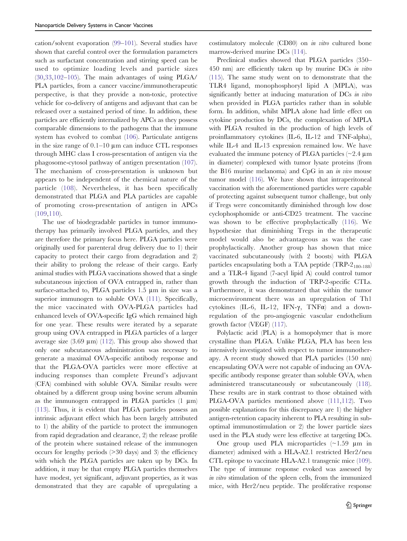cation/solvent evaporation ([99](#page-19-0)–[101\)](#page-19-0). Several studies have shown that careful control over the formulation parameters such as surfactant concentration and stirring speed can be used to optimize loading levels and particle sizes [\(30](#page-17-0),[33](#page-17-0)[,102](#page-19-0)–[105](#page-19-0)). The main advantages of using PLGA/ PLA particles, from a cancer vaccine/immunotherapeutic perspective, is that they provide a non-toxic, protective vehicle for co-delivery of antigens and adjuvant that can be released over a sustained period of time. In addition, these particles are efficiently internalized by APCs as they possess comparable dimensions to the pathogens that the immune system has evolved to combat [\(106\)](#page-19-0). Particulate antigens in the size range of  $0.1-10 \mu m$  can induce CTL responses through MHC class I cross-presentation of antigen via the phagosome-cytosol pathway of antigen presentation ([107](#page-19-0)). The mechanism of cross-presentation is unknown but appears to be independent of the chemical nature of the particle [\(108](#page-19-0)). Nevertheless, it has been specifically demonstrated that PLGA and PLA particles are capable of promoting cross-presentation of antigen in APCs ([109,110\)](#page-19-0).

The use of biodegradable particles in tumor immunotherapy has primarily involved PLGA particles, and they are therefore the primary focus here. PLGA particles were originally used for parenteral drug delivery due to 1) their capacity to protect their cargo from degradation and 2) their ability to prolong the release of their cargo. Early animal studies with PLGA vaccinations showed that a single subcutaneous injection of OVA entrapped in, rather than surface-attached to, PLGA particles 1.5 μm in size was a superior immunogen to soluble OVA ([111\)](#page-19-0). Specifically, the mice vaccinated with OVA-PLGA particles had enhanced levels of OVA-specific IgG which remained high for one year. These results were iterated by a separate group using OVA entrapped in PLGA particles of a larger average size  $(3.69 \mu m)$  ([112\)](#page-19-0). This group also showed that only one subcutaneous administration was necessary to generate a maximal OVA-specific antibody response and that the PLGA-OVA particles were more effective at inducing responses than complete Freund's adjuvant (CFA) combined with soluble OVA. Similar results were obtained by a different group using bovine serum albumin as the immunogen entrapped in PLGA particles  $(1 \mu m)$ [\(113](#page-19-0)). Thus, it is evident that PLGA particles possess an intrinsic adjuvant effect which has been largely attributed to 1) the ability of the particle to protect the immunogen from rapid degradation and clearance, 2) the release profile of the protein where sustained release of the immunogen occurs for lengthy periods (>30 days) and 3) the efficiency with which the PLGA particles are taken up by DCs. In addition, it may be that empty PLGA particles themselves have modest, yet significant, adjuvant properties, as it was demonstrated that they are capable of upregulating a costimulatory molecule (CD80) on in vitro cultured bone marrow-derived murine DCs [\(114](#page-19-0)).

Preclinical studies showed that PLGA particles (350– 450 nm) are efficiently taken up by murine DCs in vitro ([115](#page-19-0)). The same study went on to demonstrate that the TLR4 ligand, monophosphoryl lipid A (MPLA), was significantly better at inducing maturation of DCs in vitro when provided in PLGA particles rather than in soluble form. In addition, whilst MPLA alone had little effect on cytokine production by DCs, the complexation of MPLA with PLGA resulted in the production of high levels of proinflammatory cytokines (IL-6, IL-12 and TNF-alpha), while IL-4 and IL-13 expression remained low. We have evaluated the immune potency of PLGA particles  $\sim 2.4 \mu m$ in diameter) complexed with tumor lysate proteins (from the B16 murine melanoma) and CpG in an in vivo mouse tumor model ([116\)](#page-19-0). We have shown that intraperitoneal vaccination with the aforementioned particles were capable of protecting against subsequent tumor challenge, but only if Tregs were concomitantly diminished through low dose cyclophosphomide or anti-CD25 treatment. The vaccine was shown to be effective prophylactically ([116\)](#page-19-0). We hypothesize that diminishing Tregs in the therapeutic model would also be advantageous as was the case prophylactically. Another group has shown that mice vaccinated subcutaneously (with 2 boosts) with PLGA particles encapsulating both a TAA peptide  $(TRP-2_{180-188})$ and a TLR-4 ligand (7-acyl lipid A) could control tumor growth through the induction of TRP-2-specific CTLs. Furthermore, it was demonstrated that within the tumor microenvironment there was an upregulation of Th1 cytokines (IL-6, IL-12, IFN- $\gamma$ , TNF $\alpha$ ) and a downregulation of the pro-angiogenic vascular endothelium growth factor (VEGF) ([117\)](#page-19-0).

Polylactic acid (PLA) is a homopolymer that is more crystalline than PLGA. Unlike PLGA, PLA has been less intensively investigated with respect to tumor immunotherapy. A recent study showed that PLA particles (150 nm) encapsulating OVA were not capable of inducing an OVAspecific antibody response greater than soluble OVA, when administered transcutaneously or subcutaneously [\(118](#page-19-0)). These results are in stark contrast to those obtained with PLGA-OVA particles mentioned above [\(111](#page-19-0),[112\)](#page-19-0). Two possible explanations for this discrepancy are 1) the higher antigen-retention capacity inherent to PLA resulting in suboptimal immunostimulation or 2) the lower particle sizes used in the PLA study were less effective at targeting DCs.

One group used PLA microparticles  $\sim 1.59$  µm in diameter) admixed with a HLA-A2.1 restricted Her2/neu CTL epitope to vaccinate HLA-A2.1 transgenic mice [\(109](#page-19-0)). The type of immune response evoked was assessed by in vitro stimulation of the spleen cells, from the immunized mice, with Her2/neu peptide. The proliferative response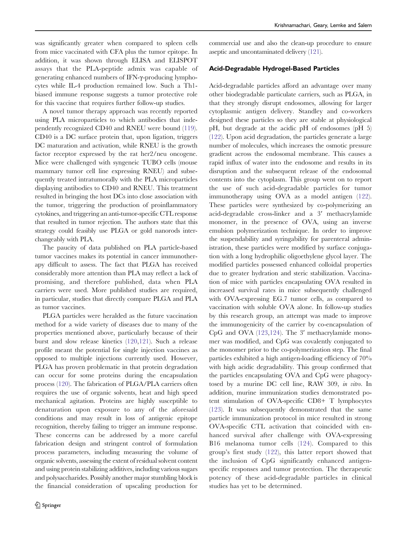was significantly greater when compared to spleen cells from mice vaccinated with CFA plus the tumor epitope. In addition, it was shown through ELISA and ELISPOT assays that the PLA-peptide admix was capable of generating enhanced numbers of IFN-γ-producing lymphocytes while IL-4 production remained low. Such a Th1 biased immune response suggests a tumor protective role for this vaccine that requires further follow-up studies.

A novel tumor therapy approach was recently reported using PLA microparticles to which antibodies that independently recognized CD40 and RNEU were bound [\(119](#page-19-0)). CD40 is a DC surface protein that, upon ligation, triggers DC maturation and activation, while RNEU is the growth factor receptor expressed by the rat her2/neu oncogene. Mice were challenged with syngeneic TUBO cells (mouse mammary tumor cell line expressing RNEU) and subsequently treated intratumorally with the PLA microparticles displaying antibodies to CD40 and RNEU. This treatment resulted in bringing the host DCs into close association with the tumor, triggering the production of proinflammatory cytokines, and triggering an anti-tumor-specific CTL response that resulted in tumor rejection. The authors state that this strategy could feasibly use PLGA or gold nanorods interchangeably with PLA.

The paucity of data published on PLA particle-based tumor vaccines makes its potential in cancer immunotherapy difficult to assess. The fact that PLGA has received considerably more attention than PLA may reflect a lack of promising, and therefore published, data when PLA carriers were used. More published studies are required, in particular, studies that directly compare PLGA and PLA as tumor vaccines.

PLGA particles were heralded as the future vaccination method for a wide variety of diseases due to many of the properties mentioned above, particularly because of their burst and slow release kinetics ([120,121](#page-19-0)). Such a release profile meant the potential for single injection vaccines as opposed to multiple injections currently used. However, PLGA has proven problematic in that protein degradation can occur for some proteins during the encapsulation process [\(120](#page-19-0)). The fabrication of PLGA/PLA carriers often requires the use of organic solvents, heat and high speed mechanical agitation. Proteins are highly susceptible to denaturation upon exposure to any of the aforesaid conditions and may result in loss of antigenic epitope recognition, thereby failing to trigger an immune response. These concerns can be addressed by a more careful fabrication design and stringent control of formulation process parameters, including measuring the volume of organic solvents, assessing the extent of residual solvent content and using protein stabilizing additives, including various sugars and polysaccharides. Possibly another major stumbling block is the financial consideration of upscaling production for

commercial use and also the clean-up procedure to ensure aseptic and uncontaminated delivery [\(121\)](#page-19-0).

## Acid-Degradable Hydrogel-Based Particles

Acid-degradable particles afford an advantage over many other biodegradable particulate carriers, such as PLGA, in that they strongly disrupt endosomes, allowing for larger cytoplasmic antigen delivery. Standley and co-workers designed these particles so they are stable at physiological pH, but degrade at the acidic pH of endosomes (pH 5) ([122](#page-19-0)). Upon acid degradation, the particles generate a large number of molecules, which increases the osmotic pressure gradient across the endosomal membrane. This causes a rapid influx of water into the endosome and results in its disruption and the subsequent release of the endosomal contents into the cytoplasm. This group went on to report the use of such acid-degradable particles for tumor immunotherapy using OVA as a model antigen [\(122](#page-19-0)). These particles were synthesized by co-polymerizing an acid-degradable cross-linker and a 3′ methacrylamide monomer, in the presence of OVA, using an inverse emulsion polymerization technique. In order to improve the suspendability and syringability for parenteral administration, these particles were modified by surface conjugation with a long hydrophilic oligoethylene glycol layer. The modified particles possessed enhanced colloidal properties due to greater hydration and steric stabilization. Vaccination of mice with particles encapsulating OVA resulted in increased survival rates in mice subsequently challenged with OVA-expressing EG.7 tumor cells, as compared to vaccination with soluble OVA alone. In follow-up studies by this research group, an attempt was made to improve the immunogenicity of the carrier by co-encapsulation of CpG and OVA [\(123](#page-19-0),[124\)](#page-20-0). The 3′ methacrylamide monomer was modified, and CpG was covalently conjugated to the monomer prior to the co-polymerization step. The final particles exhibited a high antigen-loading efficiency of 70% with high acidic degradability. This group confirmed that the particles encapsulating OVA and CpG were phagocytosed by a murine DC cell line, RAW 309, in vitro. In addition, murine immunization studies demonstrated potent stimulation of OVA-specific CD8+ T lymphocytes ([123](#page-19-0)). It was subsequently demonstrated that the same particle immunization protocol in mice resulted in strong OVA-specific CTL activation that coincided with enhanced survival after challenge with OVA-expressing B16 melanoma tumor cells ([124\)](#page-20-0). Compared to this group's first study ([122](#page-19-0)), this latter report showed that the inclusion of CpG significantly enhanced antigenspecific responses and tumor protection. The therapeutic potency of these acid-degradable particles in clinical studies has yet to be determined.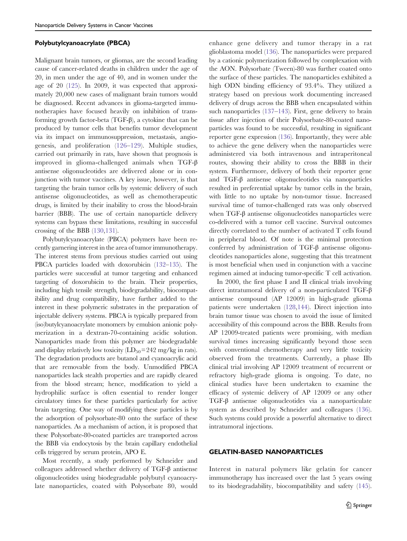#### Polybutylcyanoacrylate (PBCA)

Malignant brain tumors, or gliomas, are the second leading cause of cancer-related deaths in children under the age of 20, in men under the age of 40, and in women under the age of 20 [\(125](#page-20-0)). In 2009, it was expected that approximately 20,000 new cases of malignant brain tumors would be diagnosed. Recent advances in glioma-targeted immunotherapies have focused heavily on inhibition of transforming growth factor-beta (TGF-β), a cytokine that can be produced by tumor cells that benefits tumor development via its impact on immunosuppression, metastasis, angiogenesis, and proliferation [\(126](#page-20-0)–[129](#page-20-0)). Multiple studies, carried out primarily in rats, have shown that prognosis is improved in glioma-challenged animals when TGF-β antisense oligonucleotides are delivered alone or in conjunction with tumor vaccines. A key issue, however, is that targeting the brain tumor cells by systemic delivery of such antisense oligonucleotides, as well as chemotherapeutic drugs, is limited by their inability to cross the blood-brain barrier (BBB). The use of certain nanoparticle delivery systems can bypass these limitations, resulting in successful crossing of the BBB ([130,131](#page-20-0)).

Polybutylcyanoacrylate (PBCA) polymers have been recently garnering interest in the area of tumor immunotherapy. The interest stems from previous studies carried out using PBCA particles loaded with doxorubicin ([132](#page-20-0)–[135](#page-20-0)). The particles were successful at tumor targeting and enhanced targeting of doxorubicin to the brain. Their properties, including high tensile strength, biodegradability, biocompatibility and drug compatibility, have further added to the interest in these polymeric substrates in the preparation of injectable delivery systems. PBCA is typically prepared from (iso)butylcyanoacrylate monomers by emulsion anionic polymerization in a dextran-70-containing acidic solution. Nanoparticles made from this polymer are biodegradable and display relatively low toxicity  $(LD_{50}=242 \text{ mg/kg} \text{ in rats}).$ The degradation products are butanol and cyanoacrylic acid that are removable from the body. Unmodified PBCA nanoparticles lack stealth properties and are rapidly cleared from the blood stream; hence, modification to yield a hydrophilic surface is often essential to render longer circulatory times for these particles particularly for active brain targeting. One way of modifying these particles is by the adsorption of polysorbate-80 onto the surface of these nanoparticles. As a mechanism of action, it is proposed that these Polysorbate-80-coated particles are transported across the BBB via endocytosis by the brain capillary endothelial cells triggered by serum protein, APO E.

Most recently, a study performed by Schneider and colleagues addressed whether delivery of TGF-β antisense oligonucleotides using biodegradable polybutyl cyanoacrylate nanoparticles, coated with Polysorbate 80, would

enhance gene delivery and tumor therapy in a rat glioblastoma model [\(136](#page-20-0)). The nanoparticles were prepared by a cationic polymerization followed by complexation with the AON. Polysorbate (Tween)-80 was further coated onto the surface of these particles. The nanoparticles exhibited a high ODN binding efficiency of 93.4%. They utilized a strategy based on previous work documenting increased delivery of drugs across the BBB when encapsulated within such nanoparticles ([137](#page-20-0)–[143\)](#page-20-0). First, gene delivery to brain tissue after injection of their Polysorbate-80-coated nanoparticles was found to be successful, resulting in significant reporter gene expression ([136\)](#page-20-0). Importantly, they were able to achieve the gene delivery when the nanoparticles were administered via both intravenous and intraperitoneal routes, showing their ability to cross the BBB in their system. Furthermore, delivery of both their reporter gene and TGF-β antisense oligonucleotides via nanoparticles resulted in preferential uptake by tumor cells in the brain, with little to no uptake by non-tumor tissue. Increased survival time of tumor-challenged rats was only observed when TGF-β antisense oligonucleotides nanoparticles were co-delivered with a tumor cell vaccine. Survival outcomes directly correlated to the number of activated T cells found in peripheral blood. Of note is the minimal protection conferred by administration of TGF-β antisense oligonucleotides nanoparticles alone, suggesting that this treatment is most beneficial when used in conjunction with a vaccine regimen aimed at inducing tumor-specific T cell activation.

In 2000, the first phase I and II clinical trials involving direct intratumoral delivery of a non-particulated TGF-β antisense compound (AP 12009) in high-grade glioma patients were undertaken ([128,144](#page-20-0)). Direct injection into brain tumor tissue was chosen to avoid the issue of limited accessibility of this compound across the BBB. Results from AP 12009-treated patients were promising, with median survival times increasing significantly beyond those seen with conventional chemotherapy and very little toxicity observed from the treatments. Currently, a phase IIb clinical trial involving AP 12009 treatment of recurrent or refractory high-grade glioma is ongoing. To date, no clinical studies have been undertaken to examine the efficacy of systemic delivery of AP 12009 or any other TGF-β antisense oligonucleotides via a nanoparticulate system as described by Schneider and colleagues [\(136](#page-20-0)). Such systems could provide a powerful alternative to direct intratumoral injections.

#### GELATIN-BASED NANOPARTICLES

Interest in natural polymers like gelatin for cancer immunotherapy has increased over the last 5 years owing to its biodegradability, biocompatibility and safety [\(145](#page-20-0)).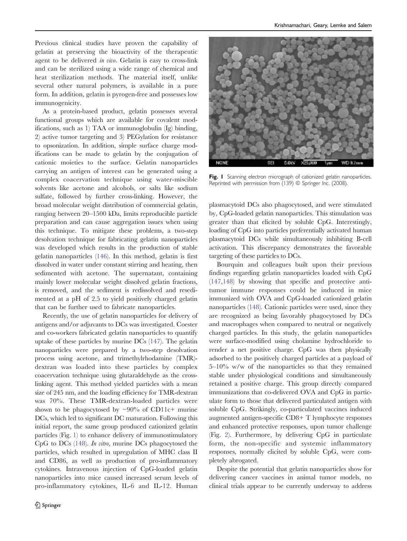Previous clinical studies have proven the capability of gelatin at preserving the bioactivity of the therapeutic agent to be delivered in vivo. Gelatin is easy to cross-link and can be sterilized using a wide range of chemical and heat sterilization methods. The material itself, unlike several other natural polymers, is available in a pure form. In addition, gelatin is pyrogen-free and possesses low immunogenicity.

As a protein-based product, gelatin possesses several functional groups which are available for covalent modifications, such as 1) TAA or immunoglobulin (Ig) binding, 2) active tumor targeting and 3) PEGylation for resistance to opsonization. In addition, simple surface charge modifications can be made to gelatin by the conjugation of cationic moieties to the surface. Gelatin nanoparticles carrying an antigen of interest can be generated using a complex coacervation technique using water-miscible solvents like acetone and alcohols, or salts like sodium sulfate, followed by further cross-linking. However, the broad molecular weight distribution of commercial gelatin, ranging between 20–1500 kDa, limits reproducible particle preparation and can cause aggregation issues when using this technique. To mitigate these problems, a two-step desolvation technique for fabricating gelatin nanoparticles was developed which results in the production of stable gelatin nanoparticles ([146\)](#page-20-0). In this method, gelatin is first dissolved in water under constant stirring and heating, then sedimented with acetone. The supernatant, containing mainly lower molecular weight dissolved gelatin fractions, is removed, and the sediment is redissolved and resedimented at a pH of 2.5 to yield positively charged gelatin that can be further used to fabricate nanoparticles.

Recently, the use of gelatin nanoparticles for delivery of antigens and/or adjuvants to DCs was investigated. Coester and co-workers fabricated gelatin nanoparticles to quantify uptake of these particles by murine DCs ([147\)](#page-20-0). The gelatin nanoparticles were prepared by a two-step desolvation process using acetone, and trimethylrhodamine (TMR) dextran was loaded into these particles by complex coacervation technique using glutaraldehyde as the crosslinking agent. This method yielded particles with a mean size of 245 nm, and the loading efficiency for TMR-dextran was 70%. These TMR-dextran-loaded particles were shown to be phagocytosed by  $\sim 90\%$  of CD11c+ murine DCs, which led to significant DC maturation. Following this initial report, the same group produced cationized gelatin particles (Fig. 1) to enhance delivery of immunostimulatory CpG to DCs ([148\)](#page-20-0). In vitro, murine DCs phagocytosed the particles, which resulted in upregulation of MHC class II and CD86, as well as production of pro-inflammatory cytokines. Intravenous injection of CpG-loaded gelatin nanoparticles into mice caused increased serum levels of pro-inflammatory cytokines, IL-6 and IL-12. Human



Fig. I Scanning electron micrograph of cationized gelatin nanoparticles. Reprinted with permission from (139) © Springer Inc. (2008).

plasmacytoid DCs also phagocytosed, and were stimulated by, CpG-loaded gelatin nanoparticles. This stimulation was greater than that elicited by soluble CpG. Interestingly, loading of CpG into particles preferentially activated human plasmacytoid DCs while simultaneously inhibiting B-cell activation. This discrepancy demonstrates the favorable targeting of these particles to DCs.

Bourquin and colleagues built upon their previous findings regarding gelatin nanoparticles loaded with CpG ([147](#page-20-0),[148\)](#page-20-0) by showing that specific and protective antitumor immune responses could be induced in mice immunized with OVA and CpG-loaded cationized gelatin nanoparticles [\(148](#page-20-0)). Cationic particles were used, since they are recognized as being favorably phagocytosed by DCs and macrophages when compared to neutral or negatively charged particles. In this study, the gelatin nanoparticles were surface-modified using cholamine hydrochloride to render a net positive charge. CpG was then physically adsorbed to the positively charged particles at a payload of 5–10% w/w of the nanoparticles so that they remained stable under physiological conditions and simultaneously retained a positive charge. This group directly compared immunizations that co-delivered OVA and CpG in particulate form to those that delivered particulated antigen with soluble CpG. Strikingly, co-particulated vaccines induced augmented antigen-specific CD8+ T lymphocyte responses and enhanced protective responses, upon tumor challenge (Fig. [2\)](#page-12-0). Furthermore, by delivering CpG in particulate form, the non-specific and systemic inflammatory responses, normally elicited by soluble CpG, were completely abrogated.

Despite the potential that gelatin nanoparticles show for delivering cancer vaccines in animal tumor models, no clinical trials appear to be currently underway to address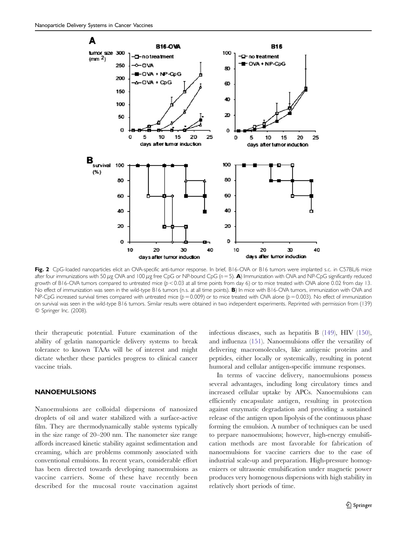<span id="page-12-0"></span>

Fig. 2 CpG-loaded nanoparticles elicit an OVA-specific anti-tumor response. In brief, B16-OVA or B16 tumors were implanted s.c. in C57BL/6 mice after four immunizations with 50 µg OVA and 100 µg free CpG or NP-bound CpG ( $n=5$ ). A) Immunization with OVA and NP-CpG significantly reduced growth of B16-OVA tumors compared to untreated mice ( $p < 0.03$  at all time points from day 6) or to mice treated with OVA alone 0.02 from day 13. No effect of immunization was seen in the wild-type B16 tumors (n.s. at all time points). B) In mice with B16-OVA tumors, immunization with OVA and NP-CpG increased survival times compared with untreated mice ( $p = 0.009$ ) or to mice treated with OVA alone ( $p = 0.003$ ). No effect of immunization on survival was seen in the wild-type B16 tumors. Similar results were obtained in two independent experiments. Reprinted with permission from (139) © Springer Inc. (2008).

their therapeutic potential. Future examination of the ability of gelatin nanoparticle delivery systems to break tolerance to known TAAs will be of interest and might dictate whether these particles progress to clinical cancer vaccine trials.

# NANOEMULSIONS

Nanoemulsions are colloidal dispersions of nanosized droplets of oil and water stabilized with a surface-active film. They are thermodynamically stable systems typically in the size range of 20–200 nm. The nanometer size range affords increased kinetic stability against sedimentation and creaming, which are problems commonly associated with conventional emulsions. In recent years, considerable effort has been directed towards developing nanoemulsions as vaccine carriers. Some of these have recently been described for the mucosal route vaccination against infectious diseases, such as hepatitis B ([149\)](#page-20-0), HIV [\(150](#page-20-0)), and influenza ([151\)](#page-20-0). Nanoemulsions offer the versatility of delivering macromolecules, like antigenic proteins and peptides, either locally or systemically, resulting in potent humoral and cellular antigen-specific immune responses.

In terms of vaccine delivery, nanoemulsions possess several advantages, including long circulatory times and increased cellular uptake by APCs. Nanoemulsions can efficiently encapsulate antigen, resulting in protection against enzymatic degradation and providing a sustained release of the antigen upon lipolysis of the continuous phase forming the emulsion. A number of techniques can be used to prepare nanoemulsions; however, high-energy emulsification methods are most favorable for fabrication of nanoemulsions for vaccine carriers due to the ease of industrial scale-up and preparation. High-pressure homogenizers or ultrasonic emulsification under magnetic power produces very homogenous dispersions with high stability in relatively short periods of time.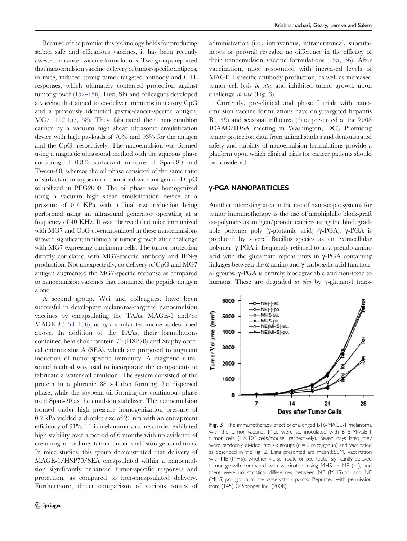Because of the promise this technology holds for producing stable, safe and efficacious vaccines, it has been recently assessed in cancer vaccine formulations. Two groups reported that nanoemulsion vaccine delivery of tumor-specific antigens, in mice, induced strong tumor-targeted antibody and CTL responses, which ultimately conferred protection against tumor growth [\(152](#page-20-0)–[156\)](#page-20-0). First, Shi and colleagues developed a vaccine that aimed to co-deliver immunostimulatory CpG and a previously identified gastric-cancer-specific antigen, MG7 ([152](#page-20-0),[157](#page-20-0),[158](#page-21-0)). They fabricated their nanoemulsion carrier by a vacuum high shear ultrasonic emulsification device with high payloads of 70% and 93% for the antigen and the CpG, respectively. The nanoemulsion was formed using a magnetic ultrasound method with the aqueous phase consisting of 0.8% surfactant mixture of Span-80 and Tween-80, whereas the oil phase consisted of the same ratio of surfactant in soybean oil combined with antigen and CpG solubilized in PEG2000. The oil phase was homogenized using a vacuum high shear emulsification device at a pressure of 0.7 KPa with a final size reduction being performed using an ultrasound generator operating at a frequency of 40 KHz. It was observed that mice immunized with MG7 and CpG co-encapsulated in these nanoemulsions showed significant inhibition of tumor growth after challenge with MG7-expressing carcinoma cells. The tumor protection directly correlated with MG7-specific antibody and IFN-γ production. Not unexpectedly, co-delivery of CpG and MG7 antigen augmented the MG7-specific response as compared to nanoemulsion vaccines that contained the peptide antigen alone.

A second group, Wei and colleagues, have been successful in developing melanoma-targeted nanoemulsion vaccines by encapsulating the TAAs, MAGE-1 and/or MAGE-3 [\(153](#page-20-0)–[156](#page-20-0)), using a similar technique as described above. In addition to the TAAs, their formulations contained heat shock protein 70 (HSP70) and Staphylococcal enterotoxins A (SEA), which are proposed to augment induction of tumor-specific immunity. A magnetic ultrasound method was used to incorporate the components to fabricate a water/oil emulsion. The system consisted of the protein in a pluronic 88 solution forming the dispersed phase, while the soybean oil forming the continuous phase used Span-20 as the emulsion stabilizer. The nanoemulsion formed under high pressure homogenization pressure of 0.7 kPa yielded a droplet size of 20 nm with an entrapment efficiency of 91%. This melanoma vaccine carrier exhibited high stability over a period of 6 months with no evidence of creaming or sedimentation under shelf storage conditions. In mice studies, this group demonstrated that delivery of MAGE-1/HSP70/SEA encapsulated within a nanoemulsion significantly enhanced tumor-specific responses and protection, as compared to non-encapsulated delivery. Furthermore, direct comparison of various routes of administration (i.e., intravenous, intraperitoneal, subcutaneous or peroral) revealed no difference in the efficacy of their nanoemulsion vaccine formulations ([155,156](#page-20-0)). After vaccination, mice responded with increased levels of MAGE-1-specific antibody production, as well as increased tumor cell lysis in vitro and inhibited tumor growth upon challenge in vivo (Fig. 3).

Currently, pre-clinical and phase I trials with nanoemulsion vaccine formulations have only targeted hepatitis B ([149\)](#page-20-0) and seasonal influenza (data presented at the 2008 ICAAC/IDSA meeting in Washington, DC). Promising tumor protection data from animal studies and demonstrated safety and stability of nanoemulsion formulations provide a platform upon which clinical trials for cancer patients should be considered.

# γ-PGA NANOPARTICLES

Another interesting area in the use of nanoscopic systems for tumor immunotherapy is the use of amphiphilic block-graft co-polymers as antigen/protein carriers using the biodegradable polymer poly (γ-glutamic acid) (γ-PGA). γ-PGA is produced by several Bacillus species as an extracellular polymer. γ-PGA is frequently referred to as a pseudo-amino acid with the glutamate repeat units in  $\gamma$ -PGA containing linkages between the α-amino and γ-carboxylic acid functional groups. γ-PGA is entirely biodegradable and non-toxic to humans. These are degraded *in vivo* by γ-glutamyl trans-



Fig. 3 The immunotherapy effect of challenged B16-MAGE-1 melanoma with the tumor vaccine. Mice were sc. inoculated with B16-MAGE-1 tumor cells  $(1 \times 10^5$  cells/mouse, respectively). Seven days later, they were randomly divided into six groups ( $n=6$  mice/group) and vaccinated as described in the Fig. [2.](#page-12-0) Data presented are mean±SEM. Vaccination with NE (MHS), whether via sc. route or po. route, signicantly delayed tumor growth compared with vaccination using MHS or NE (−), and there were no statistical differences between NE (MHS)-sc. and NE (MHS)-po. group at the observation points. Reprinted with permission from (145) © Springer Inc. (2008).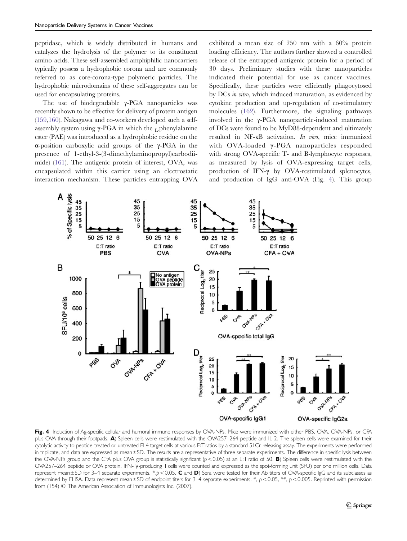peptidase, which is widely distributed in humans and catalyzes the hydrolysis of the polymer to its constituent amino acids. These self-assembled amphiphilic nanocarriers typically possess a hydrophobic corona and are commonly referred to as core-corona-type polymeric particles. The hydrophobic microdomains of these self-aggregates can be used for encapsulating proteins.

The use of biodegradable γ-PGA nanoparticles was recently shown to be effective for delivery of protein antigen [\(159](#page-21-0),[160\)](#page-21-0). Nakagawa and co-workers developed such a selfassembly system using  $\gamma$ -PGA in which the <sub>L-</sub>phenylalanine ester (PAE) was introduced as a hydrophobic residue on the α-position carboxylic acid groups of the γ-PGA in the presence of 1-ethyl-3-(3-dimethylaminopropyl)carbodiimide) ([161\)](#page-21-0). The antigenic protein of interest, OVA, was encapsulated within this carrier using an electrostatic interaction mechanism. These particles entrapping OVA

exhibited a mean size of 250 nm with a 60% protein loading efficiency. The authors further showed a controlled release of the entrapped antigenic protein for a period of 30 days. Preliminary studies with these nanoparticles indicated their potential for use as cancer vaccines. Specifically, these particles were efficiently phagocytosed by DCs in vitro, which induced maturation, as evidenced by cytokine production and up-regulation of co-stimulatory molecules [\(162\)](#page-21-0). Furthermore, the signaling pathways involved in the γ-PGA nanoparticle-induced maturation of DCs were found to be MyD88-dependent and ultimately resulted in NF-κB activation. In vivo, mice immunized with OVA-loaded γ-PGA nanoparticles responded with strong OVA-specific T- and B-lymphocyte responses, as measured by lysis of OVA-expressing target cells, production of IFN-γ by OVA-restimulated splenocytes, and production of IgG anti-OVA (Fig. 4). This group



Fig. 4 Induction of Ag-specific cellular and humoral immune responses by OVA-NPs. Mice were immunized with either PBS, OVA, OVA-NPs, or CFA plus OVA through their footpads. A) Spleen cells were restimulated with the OVA257-264 peptide and IL-2. The spleen cells were examined for their cytolytic activity to peptide-treated or untreated EL4 target cells at various E:T ratios by a standard 51Cr-releasing assay. The experiments were performed in triplicate, and data are expressed as mean±SD. The results are a representative of three separate experiments. The difference in specific lysis between the OVA-NPs group and the CFA plus OVA group is statistically significant  $(p < 0.05)$  at an E:T ratio of 50. B) Spleen cells were restimulated with the OVA257–264 peptide or OVA protein. IFN- γ-producing T cells were counted and expressed as the spot-forming unit (SFU) per one million cells. Data represent mean $\pm$ SD for 3–4 separate experiments. \*,p<0.05. C and D) Sera were tested for their Ab titers of OVA-specific IgG and its subclasses as determined by ELISA. Data represent mean $\pm$ SD of endpoint titers for 3–4 separate experiments. \*, p < 0.05, \*\*, p < 0.005. Reprinted with permission from (154) © The American Association of Immunologists Inc. (2007).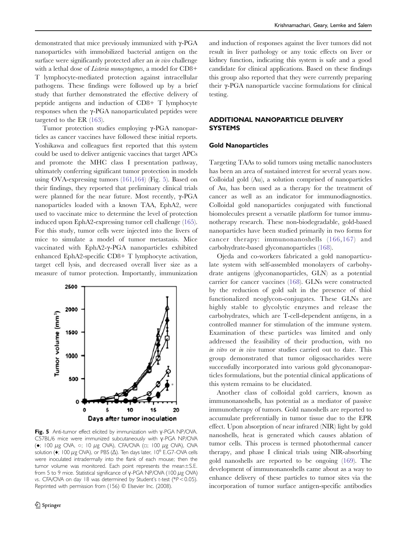demonstrated that mice previously immunized with γ-PGA nanoparticles with immobilized bacterial antigen on the surface were significantly protected after an *in vivo* challenge with a lethal dose of *Listeria monocytogenes*, a model for CD8+ T lymphocyte-mediated protection against intracellular pathogens. These findings were followed up by a brief study that further demonstrated the effective delivery of peptide antigens and induction of CD8+ T lymphocyte responses when the γ-PGA nanoparticulated peptides were targeted to the ER [\(163](#page-21-0)).

Tumor protection studies employing γ-PGA nanoparticles as cancer vaccines have followed these initial reports. Yoshikawa and colleagues first reported that this system could be used to deliver antigenic vaccines that target APCs and promote the MHC class I presentation pathway, ultimately conferring significant tumor protection in models using OVA-expressing tumors ([161,164](#page-21-0)) (Fig. 5). Based on their findings, they reported that preliminary clinical trials were planned for the near future. Most recently, γ-PGA nanoparticles loaded with a known TAA, EphA2, were used to vaccinate mice to determine the level of protection induced upon EphA2-expressing tumor cell challenge [\(165](#page-21-0)). For this study, tumor cells were injected into the livers of mice to simulate a model of tumor metastasis. Mice vaccinated with EphA2-γ-PGA nanoparticles exhibited enhanced EphA2-specific CD8+ T lymphocyte activation, target cell lysis, and decreased overall liver size as a measure of tumor protection. Importantly, immunization



Fig. 5 Anti-tumor effect elicited by immunization with γ-PGA NP/OVA. C57BL/6 mice were immunized subcutaneously with γ-PGA NP/OVA (●; 100 μg OVA, ○; 10 μg OVA), CFA/OVA (□; 100 μg OVA), OVA solution ( $\bullet$ ; 100  $\mu$ g OVA), or PBS ( $\Delta$ ). Ten days later, 10<sup>6</sup> E.G7-OVA cells were inoculated intradermally into the flank of each mouse; then the tumor volume was monitored. Each point represents the mean±S.E. from 5 to 9 mice. Statistical significance of γ-PGA NP/OVA (100 μg OVA) vs. CFA/OVA on day 18 was determined by Student's t-test (\*P<0.05). Reprinted with permission from (156) © Elsevier Inc. (2008).

and induction of responses against the liver tumors did not result in liver pathology or any toxic effects on liver or kidney function, indicating this system is safe and a good candidate for clinical applications. Based on these findings this group also reported that they were currently preparing their γ-PGA nanoparticle vaccine formulations for clinical testing.

# ADDITIONAL NANOPARTICLE DELIVERY **SYSTEMS**

## Gold Nanoparticles

Targeting TAAs to solid tumors using metallic nanoclusters has been an area of sustained interest for several years now. Colloidal gold (Au), a solution comprised of nanoparticles of Au, has been used as a therapy for the treatment of cancer as well as an indicator for immunodiagnostics. Colloidal gold nanoparticles conjugated with functional biomolecules present a versatile platform for tumor immunotherapy research. These non-biodegradable, gold-based nanoparticles have been studied primarily in two forms for cancer therapy: immunonanoshells ([166](#page-21-0),[167](#page-21-0)) and carbohydrate-based glyconanoparticles ([168\)](#page-21-0).

Ojeda and co-workers fabricated a gold nanoparticulate system with self-assembled monolayers of carbohydrate antigens (glyconanoparticles, GLN) as a potential carrier for cancer vaccines [\(168\)](#page-21-0). GLNs were constructed by the reduction of gold salt in the presence of thiol functionalized neoglycon-conjugates. These GLNs are highly stable to glycolytic enzymes and release the carbohydrates, which are T-cell-dependent antigens, in a controlled manner for stimulation of the immune system. Examination of these particles was limited and only addressed the feasibility of their production, with no in vitro or in vivo tumor studies carried out to date. This group demonstrated that tumor oligosaccharides were successfully incorporated into various gold glyconanoparticles formulations, but the potential clinical applications of this system remains to be elucidated.

Another class of colloidal gold carriers, known as immunonanoshells, has potential as a mediator of passive immunotherapy of tumors. Gold nanoshells are reported to accumulate preferentially in tumor tissue due to the EPR effect. Upon absorption of near infrared (NIR) light by gold nanoshells, heat is generated which causes ablation of tumor cells. This process is termed photothermal cancer therapy, and phase I clinical trials using NIR-absorbing gold nanoshells are reported to be ongoing [\(169](#page-21-0)). The development of immunonanoshells came about as a way to enhance delivery of these particles to tumor sites via the incorporation of tumor surface antigen-specific antibodies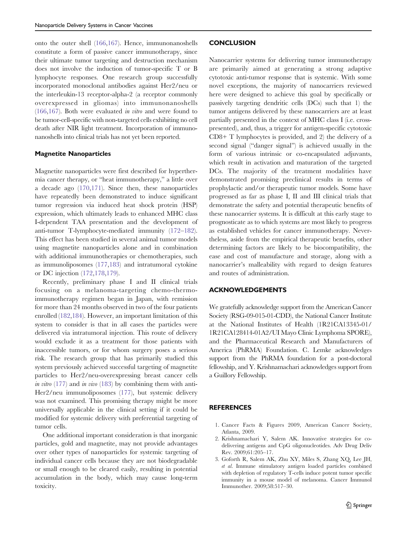<span id="page-16-0"></span>onto the outer shell [\(166](#page-21-0),[167\)](#page-21-0). Hence, immunonanoshells constitute a form of passive cancer immunotherapy, since their ultimate tumor targeting and destruction mechanism does not involve the induction of tumor-specific T or B lymphocyte responses. One research group successfully incorporated monoclonal antibodies against Her2/neu or the interleukin-13 receptor-alpha-2 (a receptor commonly overexpressed in gliomas) into immunonanoshells [\(166](#page-21-0),[167\)](#page-21-0). Both were evaluated in vitro and were found to be tumor-cell-specific with non-targeted cells exhibiting no cell death after NIR light treatment. Incorporation of immunonanoshells into clinical trials has not yet been reported.

## Magnetite Nanoparticles

Magnetite nanoparticles were first described for hyperthermia cancer therapy, or "heat immunotherapy," a little over a decade ago ([170,171](#page-21-0)). Since then, these nanoparticles have repeatedly been demonstrated to induce significant tumor regression via induced heat shock protein (HSP) expression, which ultimately leads to enhanced MHC class I-dependent TAA presentation and the development of anti-tumor T-lymphocyte-mediated immunity [\(172](#page-21-0)–[182](#page-21-0)). This effect has been studied in several animal tumor models using magnetite nanoparticles alone and in combination with additional immunotherapies or chemotherapies, such as immunoliposomes [\(177](#page-21-0),[183\)](#page-21-0) and intratumoral cytokine or DC injection ([172,178](#page-21-0),[179\)](#page-21-0).

Recently, preliminary phase I and II clinical trials focusing on a melanoma-targeting chemo-thermoimmunotherapy regimen began in Japan, with remission for more than 24 months observed in two of the four patients enrolled ([182,184](#page-21-0)). However, an important limitation of this system to consider is that in all cases the particles were delivered via intratumoral injection. This route of delivery would exclude it as a treatment for those patients with inaccessible tumors, or for whom surgery poses a serious risk. The research group that has primarily studied this system previously achieved successful targeting of magnetite particles to Her2/neu-overexpressing breast cancer cells in vitro  $(177)$  $(177)$  and in vivo  $(183)$  $(183)$  by combining them with anti-Her2/neu immunoliposomes ([177\)](#page-21-0), but systemic delivery was not examined. This promising therapy might be more universally applicable in the clinical setting if it could be modified for systemic delivery with preferential targeting of tumor cells.

One additional important consideration is that inorganic particles, gold and magnetite, may not provide advantages over other types of nanoparticles for systemic targeting of individual cancer cells because they are not biodegradable or small enough to be cleared easily, resulting in potential accumulation in the body, which may cause long-term toxicity.

#### **CONCLUSION**

Nanocarrier systems for delivering tumor immunotherapy are primarily aimed at generating a strong adaptive cytotoxic anti-tumor response that is systemic. With some novel exceptions, the majority of nanocarriers reviewed here were designed to achieve this goal by specifically or passively targeting dendritic cells (DCs) such that 1) the tumor antigens delivered by these nanocarriers are at least partially presented in the context of MHC class I (i.e. crosspresented), and, thus, a trigger for antigen-specific cytotoxic CD8+ T lymphocytes is provided, and 2) the delivery of a second signal ("danger signal") is achieved usually in the form of various intrinsic or co-encapsulated adjuvants, which result in activation and maturation of the targeted DCs. The majority of the treatment modalities have demonstrated promising preclinical results in terms of prophylactic and/or therapeutic tumor models. Some have progressed as far as phase I, II and III clinical trials that demonstrate the safety and potential therapeutic benefits of these nanocarrier systems. It is difficult at this early stage to prognosticate as to which systems are most likely to progress as established vehicles for cancer immunotherapy. Nevertheless, aside from the empirical therapeutic benefits, other determining factors are likely to be biocompatibility, the ease and cost of manufacture and storage, along with a nanocarrier's malleability with regard to design features and routes of administration.

## ACKNOWLEDGEMENTS

We gratefully acknowledge support from the American Cancer Society (RSG-09-015-01-CDD), the National Cancer Institute at the National Institutes of Health (1R21CA13345-01/ 1R21CA128414-01A2/UI Mayo Clinic Lymphoma SPORE), and the Pharmaceutical Research and Manufacturers of America (PhRMA) Foundation. C. Lemke acknowledges support from the PhRMA foundation for a post-doctoral fellowship, and Y. Krishnamachari acknowledges support from a Guillory Fellowship.

## REFERENCES

- 1. Cancer Facts & Figures 2009, American Cancer Society, Atlanta, 2009.
- 2. Krishnamachari Y, Salem AK. Innovative strategies for codelivering antigens and CpG oligonucleotides. Adv Drug Deliv Rev. 2009;61:205–17.
- 3. Goforth R, Salem AK, Zhu XY, Miles S, Zhang XQ, Lee JH, et al. Immune stimulatory antigen loaded particles combined with depletion of regulatory T-cells induce potent tumor specific immunity in a mouse model of melanoma. Cancer Immunol Immunother. 2009;58:517–30.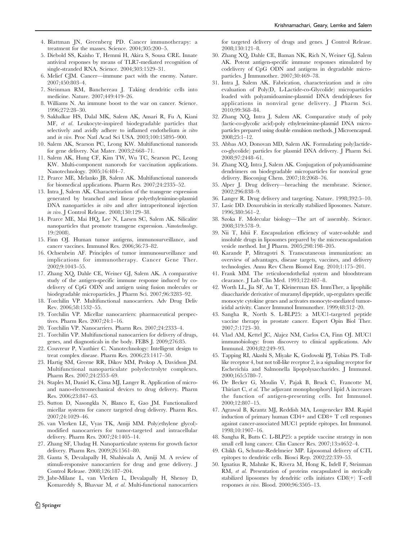- <span id="page-17-0"></span>4. Blattman JN, Greenberg PD. Cancer immunotherapy: a treatment for the masses. Science. 2004;305:200–5.
- 5. Diebold SS, Kaisho T, Hemmi H, Akira S, Sousa CRE. Innate antiviral responses by means of TLR7-mediated recognition of single-stranded RNA. Science. 2004;303:1529–31.
- 6. Melief CJM. Cancer—immune pact with the enemy. Nature. 2007;450:803–4.
- 7. Steinman RM, Banchereau J. Taking dendritic cells into medicine. Nature. 2007;449:419–26.
- 8. Williams N. An immune boost to the war on cancer. Science. 1996;272:28–30.
- 9. Sakhalkar HS, Dalal MK, Salem AK, Ansari R, Fu A, Kiani MF, et al. Leukocyte-inspired biodegradable particles that selectively and avidly adhere to inflamed endothelium in vitro and in vivo. Proc Natl Acad Sci USA. 2003;100:15895–900.
- 10. Salem AK, Searson PC, Leong KW. Multifunctional nanorods for gene delivery. Nat Mater. 2003;2:668–71.
- 11. Salem AK, Hung CF, Kim TW, Wu TC, Searson PC, Leong KW. Multi-component nanorods for vaccination applications. Nanotechnology. 2005;16:484–7.
- 12. Pearce ME, Melanko JB, Salem AK. Multifunctional nanorods for biomedical applications. Pharm Res. 2007;24:2335–52.
- 13. Intra J, Salem AK. Characterization of the transgene expression generated by branched and linear polyethylenimine-plasmid DNA nanoparticles *in vitro* and after intraperitoneal injection in vivo. J Control Release. 2008;130:129–38.
- 14. Pearce ME, Mai HQ, Lee N, Larsen SC, Salem AK. Silicalite nanoparticles that promote transgene expression. Nanotechnology. 19:(2008).
- 15. Finn OJ. Human tumor antigens, immunosurveillance, and cancer vaccines. Immunol Res. 2006;36:73–82.
- 16. Ochsenbein AF. Principles of tumor immunosurveillance and implications for immunotherapy. Cancer Gene Ther. 2002;9:1043–55.
- 17. Zhang XQ, Dahle CE, Weiner GJ, Salem AK. A comparative study of the antigen-specific immune response induced by codelivery of CpG ODN and antigen using fusion molecules or biodegradable microparticles. J Pharm Sci. 2007;96:3283–92.
- 18. Torchilin VP. Multifunctional nanocarriers. Adv Drug Deliv Rev. 2006;58:1532–55.
- 19. Torchilin VP. Micellar nanocarriers: pharmaceutical perspectives. Pharm Res. 2007;24:1–16.
- 20. Torchilin VP. Nanocarriers. Pharm Res. 2007;24:2333–4.
- 21. Torchilin VP. Multifunctional nanocarriers for delivery of drugs, genes, and diagnosticals in the body. FEBS J. 2009;276:85.
- 22. Couvreur P, Vauthier C. Nanotechnology: Intelligent design to treat complex disease. Pharm Res. 2006;23:1417–50.
- 23. Hartig SM, Greene RR, Dikov MM, Prokop A, Davidson JM. Multifunctional nanoparticulate polyelectrolyte complexes. Pharm Res. 2007;24:2353–69.
- 24. Staples M, Daniel K, Cima MJ, Langer R. Application of microand nano-electromechanical devices to drug delivery. Pharm Res. 2006;23:847–63.
- 25. Sutton D, Nasongkla N, Blanco E, Gao JM. Functionalized micellar systems for cancer targeted drug delivery. Pharm Res. 2007;24:1029–46.
- 26. van Vlerken LE, Vyas TK, Amiji MM. Poly(ethylene glycol) modified nanocarriers for tumor-targeted and intracellular delivery. Pharm Res. 2007;24:1405–14.
- 27. Zhang SF, Uludag H. Nanoparticulate systems for growth factor delivery. Pharm Res. 2009;26:1561–80.
- 28. Ganta S, Devalapally H, Shahiwala A, Amiji M. A review of stimuli-responsive nanocarriers for drug and gene delivery. J Control Release. 2008;126:187–204.
- 29. Jabr-Milane L, van Vlerken L, Devalapally H, Shenoy D, Komareddy S, Bhavsar M, et al. Multi-functional nanocarriers

for targeted delivery of drugs and genes. J Control Release. 2008;130:121–8.

- 30. Zhang XQ, Dahle CE, Baman NK, Rich N, Weiner GJ, Salem AK. Potent antigen-specific immune responses stimulated by codelivery of CpG ODN and antigens in degradable microparticles. J Immunother. 2007;30:469–78.
- 31. Intra J, Salem AK. Fabrication, characterization and in vitro evaluation of Poly(D, L-Lactide-co-Glycolide) microparticles loaded with polyamidoamine-plasmid DNA dendriplexes for applications in nonviral gene delivery. J Pharm Sci. 2010;99:368–84.
- 32. Zhang XQ, Intra J, Salem AK. Comparative study of poly (lactic-co-glycolic acid)-poly ethyleneimine-plasmid DNA microparticles prepared using double emulsion methods. J Microencapsul. 2008;25:1–12.
- 33. Abbas AO, Donovan MD, Salem AK. Formulating poly(lactideco-glycolide) particles for plasmid DNA delivery. J Pharm Sci. 2008;97:2448–61.
- 34. Zhang XQ, Intra J, Salem AK. Conjugation of polyamidoamine dendrimers on biodegradable microparticles for nonviral gene delivery. Bioconjug Chem. 2007;18:2068–76.
- 35. Alper J. Drug delivery—breaching the membrane. Science. 2002;296:838–9.
- 36. Langer R. Drug delivery and targeting. Nature. 1998;392:5–10.
- 37. Lasic DD. Doxorubicin in sterically stabilized liposomes. Nature. 1996;380:561–2.
- 38. Szoka F. Molecular biology—The art of assembly. Science. 2008;319:578–9.
- 39. Nii T, Ishii F. Encapsulation efficiency of water-soluble and insoluble drugs in liposomes prepared by the microencapsulation vesicle method. Int J Pharm. 2005;298:198–205.
- 40. Karande P, Mitragotri S. Transcutaneous immunization: an overview of advantages, disease targets, vaccines, and delivery technologies. Annu Rev Chem Biomol Eng. 2010;1:175–201.
- 41. Frank MM. The reticuloendothelial system and bloodstream clearance. J Lab Clin Med. 1993;122:487–8.
- 42. Worth LL, Jia SF, An T, Kleinerman ES. ImmTher, a lipophilic disaccharide derivative of muramyl dipeptide, up-regulates specific monocyte cytokine genes and activates monocyte-mediated tumoricidal activity. Cancer Immunol Immunother. 1999;48:312–20.
- 43. Sangha R, North S. L-BLP25: a MUC1-targeted peptide vaccine therapy in prostate cancer. Expert Opin Biol Ther. 2007;7:1723–30.
- 44. Vlad AM, Kettel JC, Alajez NM, Carlos CA, Finn OJ. MUC1 immunobiology: from discovery to clinical applications. Adv Immunol. 2004;82:249–93.
- 45. Tapping RI, Akashi S, Miyake K, Godowski PJ, Tobias PS. Tolllike receptor 4, but not toll-like receptor 2, is a signaling receptor for Escherichia and Salmonella lipopolysaccharides. J Immunol. 2000;165:5780–7.
- 46. De Becker G, Moulin V, Pajak B, Bruck C, Francotte M, Thiriart C, et al. The adjuvant monophosphoryl lipid A increases the function of antigen-presenting cells. Int Immunol. 2000;12:807–15.
- 47. Agrawal B, Krantz MJ, Reddish MA, Longenecker BM. Rapid induction of primary human CD4+ and CD8+ T cell responses against cancer-associated MUC1 peptide epitopes. Int Immunol. 1998;10:1907–16.
- 48. Sangha R, Butts C. L-BLP25: a peptide vaccine strategy in non small cell lung cancer. Clin Cancer Res. 2007;13:s4652–4.
- 49. Chikh G, Schutze-Redelmeier MP. Liposomal delivery of CTL epitopes to dendritic cells. Biosci Rep. 2002;22:339–53.
- 50. Ignatius R, Mahnke K, Rivera M, Hong K, Isdell F, Steinman RM, et al. Presentation of proteins encapsulated in sterically stabilized liposomes by dendritic cells initiates CD8(+) T-cell responses in vivo. Blood. 2000;96:3505–13.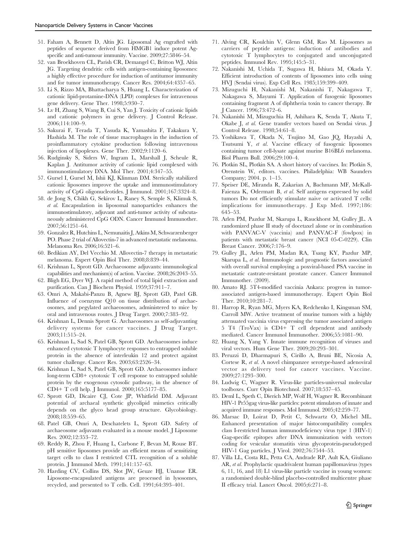- <span id="page-18-0"></span>51. Faham A, Bennett D, Altin JG. Liposomal Ag engrafted with peptides of sequence derived from HMGB1 induce potent Agspecific and anti-tumour immunity. Vaccine. 2009;27:5846–54.
- 52. van Broekhoven CL, Parish CR, Demangel C, Britton WJ, Altin JG. Targeting dendritic cells with antigen-containing liposomes: a highly effective procedure for induction of antitumor immunity and for tumor immunotherapy. Cancer Res. 2004;64:4357–65.
- 53. Li S, Rizzo MA, Bhattacharya S, Huang L. Characterization of cationic lipid-protamine-DNA (LPD) complexes for intravenous gene delivery. Gene Ther. 1998;5:930–7.
- 54. Lv H, Zhang S, Wang B, Cui S, Yan J. Toxicity of cationic lipids and cationic polymers in gene delivery. J Control Release. 2006;114:100–9.
- 55. Sakurai F, Terada T, Yasuda K, Yamashita F, Takakura Y, Hashida M. The role of tissue macrophages in the induction of proinflammatory cytokine production following intravenous injection of lipoplexes. Gene Ther. 2002;9:1120–6.
- 56. Rudginsky S, Siders W, Ingram L, Marshall J, Scheule R, Kaplan J. Antitumor activity of cationic lipid complexed with immunostimulatory DNA. Mol Ther. 2001;4:347–55.
- 57. Gursel I, Gursel M, Ishii KJ, Klinman DM. Sterically stabilized cationic liposomes improve the uptake and immunostimulatory activity of CpG oligonucleotides. J Immunol. 2001;167:3324–8.
- 58. de Jong S, Chikh G, Sekirov L, Raney S, Semple S, Klimuk S, et al. Encapsulation in liposomal nanoparticles enhances the immunostimulatory, adjuvant and anti-tumor activity of subcutaneously administered CpG ODN. Cancer Immunol Immunother. 2007;56:1251–64.
- 59. Gonzalez R, Hutchins L, Nemunaitis J, Atkins M, Schwarzenberger PO. Phase 2 trial of Allovectin-7 in advanced metastatic melanoma. Melanoma Res. 2006;16:521–6.
- 60. Bedikian AY, Del Vecchio M. Allovectin-7 therapy in metastatic melanoma. Expert Opin Biol Ther. 2008;8:839–44.
- 61. Krishnan L, Sprott GD. Archaeosome adjuvants: immunological capabilities and mechanism(s) of action. Vaccine. 2008;26:2043–55.
- 62. Bligh EG, Dyer WJ. A rapid method of total lipid extraction and purification. Can J Biochem Physiol. 1959;37:911–7.
- 63. Omri A, Makabi-Panzu B, Agnew BJ, Sprott GD, Patel GB. Influence of coenzyme Q10 on tissue distribution of archaeosomes, and pegylated archaeosomes, administered to mice by oral and intravenous routes. J Drug Target. 2000;7:383–92.
- 64. Krishnan L, Dennis Sprott G. Archaeosomes as self-adjuvanting delivery systems for cancer vaccines. J Drug Target. 2003;11:515–24.
- 65. Krishnan L, Sad S, Patel GB, Sprott GD. Archaeosomes induce enhanced cytotoxic T lymphocyte responses to entrapped soluble protein in the absence of interleukin 12 and protect against tumor challenge. Cancer Res. 2003;63:2526–34.
- 66. Krishnan L, Sad S, Patel GB, Sprott GD. Archaeosomes induce long-term CD8+ cytotoxic T cell response to entrapped soluble protein by the exogenous cytosolic pathway, in the absence of CD4+ T cell help. J Immunol. 2000;165:5177–85.
- 67. Sprott GD, Dicaire CJ, Cote JP, Whitfield DM. Adjuvant potential of archaeal synthetic glycolipid mimetics critically depends on the glyco head group structure. Glycobiology. 2008;18:559–65.
- 68. Patel GB, Omri A, Deschatelets L, Sprott GD. Safety of archaeosome adjuvants evaluated in a mouse model. J Liposome Res. 2002;12:353–72.
- 69. Reddy R, Zhou F, Huang L, Carbone F, Bevan M, Rouse BT. pH sensitive liposomes provide an efficient means of sensitizing target cells to class I restricted CTL recognition of a soluble protein. J Immunol Meth. 1991;141:157–63.
- 70. Harding CV, Collins DS, Slot JW, Geuze HJ, Unanue ER. Liposome-encapsulated antigens are processed in lysosomes, recycled, and presented to T cells. Cell. 1991;64:393–401.
- 71. Alving CR, Koulchin V, Glenn GM, Rao M. Liposomes as carriers of peptide antigens: induction of antibodies and cytotoxic T lymphocytes to conjugated and unconjugated peptides. Immunol Rev. 1995;145:5–31.
- 72. Nakanishi M, Uchida T, Sugawa H, Ishiura M, Okada Y. Efficient introduction of contents of liposomes into cells using HVJ (Sendai virus). Exp Cell Res. 1985;159:399–409.
- 73. Mizuguchi H, Nakanishi M, Nakanishi T, Nakagawa T, Nakagawa S, Mayumi T. Application of fusogenic liposomes containing fragment A of diphtheria toxin to cancer therapy. Br J Cancer. 1996;73:472–6.
- 74. Nakanishi M, Mizuguchia H, Ashihara K, Senda T, Akuta T, Okabe J, et al. Gene transfer vectors based on Sendai virus. J Control Release. 1998;54:61–8.
- 75. Yoshikawa T, Okada N, Tsujino M, Gao JQ, Hayashi A, Tsutsumi Y, et al. Vaccine efficacy of fusogenic liposomes containing tumor cell-lysate against murine B16BL6 melanoma. Biol Pharm Bull. 2006;29:100–4.
- 76. Plotkin SL, Plotkin SA. A short history of vaccines. In: Plotkin S, Orenstein W, editors. vaccines. Philadelphia: WB Saunders Company; 2004. p. 1–15.
- 77. Speiser DE, Miranda R, Zakarian A, Bachmann MF, McKall-Faienza K, Odermatt B, et al. Self antigens expressed by solid tumors Do not efficiently stimulate naive or activated T cells: implications for immunotherapy. J Exp Med. 1997;186: 645–53.
- 78. Arlen PM, Pazdur M, Skarupa L, Rauckhorst M, Gulley JL. A randomized phase II study of docetaxel alone or in combination with PANVAC-V (vaccinia) and PANVAC-F (fowlpox) in patients with metastatic breast cancer (NCI 05-C-0229). Clin Breast Cancer. 2006;7:176–9.
- 79. Gulley JL, Arlen PM, Madan RA, Tsang KY, Pazdur MP, Skarupa L, et al. Immunologic and prognostic factors associated with overall survival employing a poxviral-based PSA vaccine in metastatic castrate-resistant prostate cancer. Cancer Immunol Immunother. (2009).
- 80. Amato RJ. 5T4-modified vaccinia Ankara: progress in tumorassociated antigen-based immunotherapy. Expert Opin Biol Ther. 2010;10:281–7.
- 81. Harrop R, Ryan MG, Myers KA, Redchenko I, Kingsman SM, Carroll MW. Active treatment of murine tumors with a highly attenuated vaccinia virus expressing the tumor associated antigen 5 T4 (TroVax) is CD4+ T cell dependent and antibody mediated. Cancer Immunol Immunother. 2006;55:1081–90.
- 82. Huang X, Yang Y. Innate immune recognition of viruses and viral vectors. Hum Gene Ther. 2009;20:293–301.
- 83. Peruzzi D, Dharmapuri S, Cirillo A, Bruni BE, Nicosia A, Cortese R, et al. A novel chimpanzee serotype-based adenoviral vector as delivery tool for cancer vaccines. Vaccine. 2009;27:1293–300.
- 84. Ludwig C, Wagner R. Virus-like particles-universal molecular toolboxes. Curr Opin Biotechnol. 2007;18:537–45.
- 85. Deml L, Speth C, Dierich MP, Wolf H, Wagner R. Recombinant HIV-1 Pr55gag virus-like particles: potent stimulators of innate and acquired immune responses. Mol Immunol. 2005;42:259–77.
- 86. Marsac D, Loirat D, Petit C, Schwartz O, Michel ML. Enhanced presentation of major histocompatibility complex class I-restricted human immunodeficiency virus type 1 (HIV-1) Gag-specific epitopes after DNA immunization with vectors coding for vesicular stomatitis virus glycoprotein-pseudotyped HIV-1 Gag particles. J Virol. 2002;76:7544–53.
- 87. Villa LL, Costa RL, Petta CA, Andrade RP, Ault KA, Giuliano AR, et al. Prophylactic quadrivalent human papillomavirus (types 6, 11, 16, and 18) L1 virus-like particle vaccine in young women: a randomised double-blind placebo-controlled multicentre phase II efficacy trial. Lancet Oncol. 2005;6:271–8.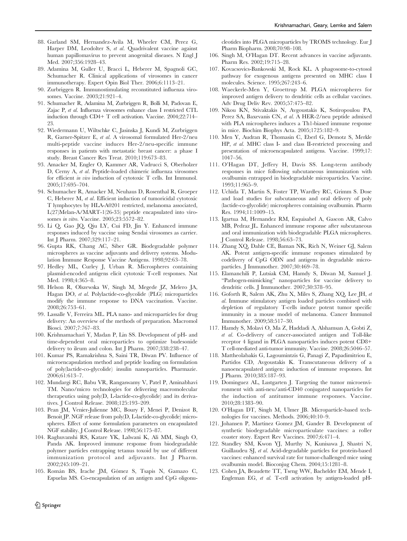- <span id="page-19-0"></span>88. Garland SM, Hernandez-Avila M, Wheeler CM, Perez G, Harper DM, Leodolter S, et al. Quadrivalent vaccine against human papillomavirus to prevent anogenital diseases. N Engl J Med. 2007;356:1928–43.
- 89. Adamina M, Guller U, Bracci L, Heberer M, Spagnoli GC, Schumacher R. Clinical applications of virosomes in cancer immunotherapy. Expert Opin Biol Ther. 2006;6:1113–21.
- 90. Zurbriggen R. Immunostimulating reconstituted influenza virosomes. Vaccine. 2003;21:921–4.
- 91. Schumacher R, Adamina M, Zurbriggen R, Bolli M, Padovan E, Zajac P, et al. Influenza virosomes enhance class I restricted CTL induction through CD4+ T cell activation. Vaccine. 2004;22:714– 23.
- 92. Wiedermann U, Wiltschke C, Jasinska J, Kundi M, Zurbriggen R, Garner-Spitzer E, et al. A virosomal formulated Her-2/neu multi-peptide vaccine induces Her-2/neu-specific immune responses in patients with metastatic breast cancer: a phase I study. Breast Cancer Res Treat. 2010;119:673–83.
- 93. Amacker M, Engler O, Kammer AR, Vadrucci S, Oberholzer D, Cerny A, et al. Peptide-loaded chimeric influenza virosomes for efficient in vivo induction of cytotoxic T cells. Int Immunol. 2005;17:695–704.
- 94. Schumacher R, Amacker M, Neuhaus D, Rosenthal R, Groeper C, Heberer M, et al. Efficient induction of tumoricidal cytotoxic T lymphocytes by HLA-A0201 restricted, melanoma associated, L(27)Melan-A/MART-1(26-35) peptide encapsulated into virosomes in vitro. Vaccine. 2005;23:5572–82.
- 95. Li Q, Gao JQ, Qiu LY, Cui FD, Jin Y. Enhanced immune responses induced by vaccine using Sendai virosomes as carrier. Int J Pharm. 2007;329:117–21.
- 96. Gupta RK, Chang AC, Siber GR. Biodegradable polymer microspheres as vaccine adjuvants and delivery systems. Modulation Immune Response Vaccine Antigens. 1998;92:63–78.
- 97. Hedley ML, Curley J, Urban R. Microspheres containing plasmid-encoded antigens elicit cytotoxic T-cell responses. Nat Med. 1998;4:365–8.
- 98. Helson R, Olszewska W, Singh M, Megede JZ, Melero JA, Hagan DO, et al. Polylactide-co-glycolide (PLG) microparticles modify the immune response to DNA vaccination. Vaccine. 2008;26:753–61.
- 99. Lassalle V, Ferreira ML. PLA nano- and microparticles for drug delivery: An overview of the methods of preparation. Macromol Biosci. 2007;7:767–83.
- 100. Krishnamachari Y, Madan P, Lin SS. Development of pH- and time-dependent oral microparticles to optimize budesonide delivery to ileum and colon. Int J Pharm. 2007;338:238–47.
- 101. Kumar PS, Ramakrishna S, Saini TR, Diwan PV. Influence of microencapsulation method and peptide loading on formulation of poly(lactide-co-glycolide) insulin nanoparticles. Pharmazie. 2006;61:613–7.
- 102. Mundargi RC, Babu VR, Rangaswamy V, Patel P, Aminabhavi TM. Nano/micro technologies for delivering macromolecular therapeutics using poly(D, L-lactide-co-glycolide) and its derivatives. J Control Release. 2008;125:193–209.
- 103. Pean JM, Venier-Julienne MC, Boury F, Menei P, Denizot B, Benoit JP. NGF release from poly(D, L-lactide-co-glycolide) microspheres. Effect of some formulation parameters on encapsulated NGF stability. J Control Release. 1998;56:175–87.
- 104. Raghuvanshi RS, Katare YK, Lalwani K, Ali MM, Singh O, Panda AK. Improved immune response from biodegradable polymer particles entrapping tetanus toxoid by use of different immunization protocol and adjuvants. Int J Pharm. 2002;245:109–21.
- 105. Román BS, Irache JM, Gómez S, Tsapis N, Gamazo C, Espuelas MS. Co-encapsulation of an antigen and CpG oligonu-

cleotides into PLGA microparticles by TROMS technology. Eur J Pharm Biopharm. 2008;70:98–108.

- 106. Singh M, O'Hagan DT. Recent advances in vaccine adjuvants. Pharm Res. 2002;19:715–28.
- 107. Kovacsovics-Bankowski M, Rock KL. A phagosome-to-cytosol pathway for exogenous antigens presented on MHC class I molecules. Science. 1995;267:243–6.
- 108. Waeckerle-Men Y, Groettrup M. PLGA microspheres for improved antigen delivery to dendritic cells as cellular vaccines. Adv Drug Deliv Rev. 2005;57:475–82.
- 109. Nikou KN, Stivaktakis N, Avgoustakis K, Sotiropoulou PA, Perez SA, Baxevanis CN, et al. A HER-2/neu peptide admixed with PLA microspheres induces a Th1-biased immune response in mice. Biochim Biophys Acta. 2005;1725:182–9.
- 110. Men Y, Audran R, Thomasin C, Eberl G, Demotz S, Merkle HP, et al. MHC class I- and class II-restricted processing and presentation of microencapsulated antigens. Vaccine. 1999;17: 1047–56.
- 111. O'Hagan DT, Jeffery H, Davis SS. Long-term antibody responses in mice following subcutaneous immunization with ovalbumin entrapped in biodegradable microparticles. Vaccine. 1993;11:965–9.
- 112. Uchida T, Martin S, Foster TP, Wardley RC, Grimm S. Dose and load studies for subcutaneous and oral delivery of poly (lactide-co-glycolide) microspheres containing ovalbumin. Pharm Res. 1994;11:1009–15.
- 113. Igartua M, Hernandez RM, Esquisabel A, Gascon AR, Calvo MB, Pedraz JL. Enhanced immune response after subcutaneous and oral immunization with biodegradable PLGA microspheres. J Control Release. 1998;56:63–73.
- 114. Zhang XQ, Dahle CE, Baman NK, Rich N, Weiner GJ, Salem AK. Potent antigen-specific immune responses stimulated by codelivery of CpG ODN and antigens in degradable microparticles. J Immunother. 2007;30:469–78.
- 115. Elamanchili P, Lutsiak CM, Hamdy S, Diwan M, Samuel J. "Pathogen-mimicking" nanoparticles for vaccine delivery to dendritic cells. J Immunother. 2007;30:378–95.
- 116. Goforth R, Salem AK, Zhu X, Miles S, Zhang XQ, Lee JH, et al. Immune stimulatory antigen loaded particles combined with depletion of regulatory T-cells induce potent tumor specific immunity in a mouse model of melanoma. Cancer Immunol Immunother. 2009;58:517–30.
- 117. Hamdy S, Molavi O, Ma Z, Haddadi A, Alshamsan A, Gobti Z, et al. Co-delivery of cancer-associated antigen and Toll-like receptor 4 ligand in PLGA nanoparticles induces potent CD8+ T cell-mediated anti-tumor immunity. Vaccine. 2008;26:5046–57.
- 118. Mattheolabakis G, Lagoumintzis G, Panagi Z, Papadimitriou E, Partidos CD, Avgoustakis K. Transcutaneous delivery of a nanoencapsulated antigen: induction of immune responses. Int J Pharm. 2010;385:187–93.
- 119. Dominguez AL, Lustgarten J. Targeting the tumor microenvironment with anti-neu/anti-CD40 conjugated nanoparticles for the induction of antitumor immune responses. Vaccine. 2010;28:1383–90.
- 120. O'Hagan DT, Singh M, Ulmer JB. Microparticle-based technologies for vaccines. Methods. 2006;40:10–9.
- 121. Johansen P, Martinez Gomez JM, Gander B. Development of synthetic biodegradable microparticulate vaccines: a roller coaster story. Expert Rev Vaccines. 2007;6:471–4.
- 122. Standley SM, Kwon YJ, Murthy N, Kunisawa J, Shastri N, Guillaudeu SJ, et al. Acid-degradable particles for protein-based vaccines: enhanced survival rate for tumor-challenged mice using ovalbumin model. Bioconjug Chem. 2004;15:1281–8.
- 123. Cohen JA, Beaudette TT, Tseng WW, Bachelder EM, Mende I, Engleman EG, et al. T-cell activation by antigen-loaded pH-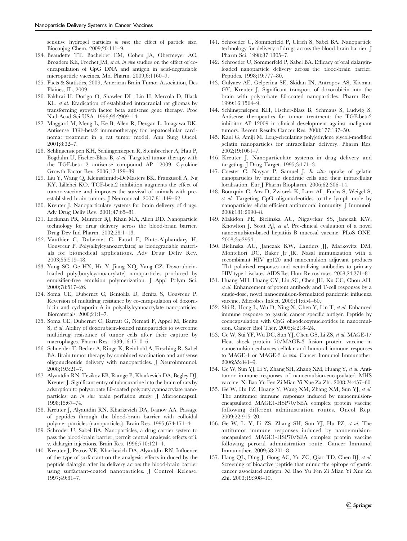<span id="page-20-0"></span>sensitive hydrogel particles in vivo: the effect of particle size. Bioconjug Chem. 2009;20:111–9.

- 124. Beaudette TT, Bachelder EM, Cohen JA, Obermeyer AC, Broaders KE, Frechet JM, et al. in vivo studies on the effect of coencapsulation of CpG DNA and antigen in acid-degradable microparticle vaccines. Mol Pharm. 2009;6:1160–9.
- 125. Facts & Statistics, 2009, American Brain Tumor Association, Des Plaines, IL, 2009.
- 126. Fakhrai H, Dorigo O, Shawler DL, Lin H, Mercola D, Black KL, et al. Eradication of established intracranial rat gliomas by transforming growth factor beta antisense gene therapy. Proc Natl Acad Sci USA. 1996;93:2909–14.
- 127. Maggard M, Meng L, Ke B, Allen R, Devgan L, Imagawa DK. Antisense TGF-beta2 immunotherapy for hepatocellular carcinoma: treatment in a rat tumor model. Ann Surg Oncol. 2001;8:32–7.
- 128. Schlingensiepen KH, Schlingensiepen R, Steinbrecher A, Hau P, Bogdahn U, Fischer-Blass B, et al. Targeted tumor therapy with the TGF-beta 2 antisense compound AP 12009. Cytokine Growth Factor Rev. 2006;17:129–39.
- 129. Liu Y, Wang Q, Kleinschmidt-DeMasters BK, Franzusoff A, Ng KY, Lillehei KO. TGF-beta2 inhibition augments the effect of tumor vaccine and improves the survival of animals with preestablished brain tumors. J Neurooncol. 2007;81:149–62.
- 130. Kreuter J. Nanoparticulate systems for brain delivery of drugs. Adv Drug Deliv Rev. 2001;47:65–81.
- 131. Lockman PR, Mumper RJ, Khan MA, Allen DD. Nanoparticle technology for drug delivery across the blood-brain barrier. Drug Dev Ind Pharm. 2002;28:1–13.
- 132. Vauthier C, Dubernet C, Fattal E, Pinto-Alphandary H, Couvreur P. Poly(alkylcyanoacrylates) as biodegradable materials for biomedical applications. Adv Drug Deliv Rev. 2003;55:519–48.
- 133. Yang SC, Ge HX, Hu Y, Jiang XQ, Yang CZ. Doxorubicinloaded poly(butylcyanoacrylate) nanoparticles produced by emulsifier-free emulsion polymerization. J Appl Polym Sci. 2000;78:517–26.
- 134. Soma CE, Dubernet C, Bentolila D, Benita S, Couvreur P. Reversion of multidrug resistance by co-encapsulation of doxorubicin and cyclosporin A in polyalkylcyanoacrylate nanoparticles. Biomaterials. 2000;21:1–7.
- 135. Soma CE, Dubernet C, Barratt G, Nemati F, Appel M, Benita S, et al. Ability of doxorubicin-loaded nanoparticles to overcome multidrug resistance of tumor cells after their capture by macrophages. Pharm Res. 1999;16:1710–6.
- 136. Schneider T, Becker A, Ringe K, Reinhold A, Firsching R, Sabel BA. Brain tumor therapy by combined vaccination and antisense oligonucleotide delivery with nanoparticles. J Neuroimmunol. 2008;195:21–7.
- 137. Alyautdin RN, Tezikov EB, Ramge P, Kharkevich DA, Begley DJ, Kreuter J. Significant entry of tubocurarine into the brain of rats by adsorption to polysorbate 80-coated polybutylcyanoacrylate nanoparticles: an in situ brain perfusion study. J Microencapsul. 1998;15:67–74.
- 138. Kreuter J, Alyautdin RN, Kharkevich DA, Ivanov AA. Passage of peptides through the blood-brain barrier with colloidal polymer particles (nanoparticles). Brain Res. 1995;674:171–4.
- 139. Schroder U, Sabel BA. Nanoparticles, a drug carrier system to pass the blood-brain barrier, permit central analgesic effects of i. v. dalargin injections. Brain Res. 1996;710:121–4.
- 140. Kreuter J, Petrov VE, Kharkevich DA, Alyautdin RN. Influence of the type of surfactant on the analgesic effects in duced by the peptide dalargin after its delivery across the blood-brain barrier using surfactant-coated nanoparticles. J Control Release. 1997;49:81–7.
- 141. Schroeder U, Sommerfeld P, Ulrich S, Sabel BA. Nanoparticle technology for delivery of drugs across the blood-brain barrier. J Pharm Sci. 1998;87:1305–7.
- 142. Schroeder U, Sommerfeld P, Sabel BA. Efficacy of oral dalarginloaded nanoparticle delivery across the blood-brain barrier. Peptides. 1998;19:777–80.
- 143. Gulyaev AE, Gelperina SE, Skidan IN, Antropov AS, Kivman GY, Kreuter J. Significant transport of doxorubicin into the brain with polysorbate 80-coated nanoparticles. Pharm Res. 1999;16:1564–9.
- 144. Schlingensiepen KH, Fischer-Blass B, Schmaus S, Ludwig S. Antisense therapeutics for tumor treatment: the TGF-beta2 inhibitor AP 12009 in clinical development against malignant tumors. Recent Results Cancer Res. 2008;177:137–50.
- 145. Kaul G, Amiji M. Long-circulating poly(ethylene glycol)-modified gelatin nanoparticles for intracellular delivery. Pharm Res. 2002;19:1061–7.
- 146. Kreuter J. Nanoparticulate systems in drug delivery and targeting. J Drug Target. 1995;3:171-3.
- 147. Coester C, Nayyar P, Samuel J. In vitro uptake of gelatin nanoparticles by murine dendritic cells and their intracellular localisation. Eur J Pharm Biopharm. 2006;62:306–14.
- 148. Bourquin C, Anz D, Zwiorek K, Lanz AL, Fuchs S, Weigel S, et al. Targeting CpG oligonucleotides to the lymph node by nanoparticles elicits efficient antitumoral immunity. J Immunol. 2008;181:2990–8.
- 149. Makidon PE, Bielinska AU, Nigavekar SS, Janczak KW, Knowlton J, Scott AJ, et al. Pre-clinical evaluation of a novel nanoemulsion-based hepatitis B mucosal vaccine. PLoS ONE. 2008;3:e2954.
- 150. Bielinska AU, Janczak KW, Landers JJ, Markovitz DM, Montefiori DC, Baker Jr JR. Nasal immunization with a recombinant HIV gp120 and nanoemulsion adjuvant produces Th1 polarized responses and neutralizing antibodies to primary HIV type 1 isolates. AIDS Res Hum Retroviruses. 2008;24:271–81.
- 151. Huang MH, Huang CY, Lin SC, Chen JH, Ku CC, Chou AH, et al. Enhancement of potent antibody and T-cell responses by a single-dose, novel nanoemulsion-formulated pandemic influenza vaccine. Microbes Infect. 2009;11:654–60.
- 152. Shi R, Hong L, Wu D, Ning X, Chen Y, Lin T, et al. Enhanced immune response to gastric cancer specific antigen Peptide by coencapsulation with CpG oligodeoxynucleotides in nanoemulsion. Cancer Biol Ther. 2005;4:218–24.
- 153. Ge W, Sui YF, Wu DC, Sun YJ, Chen GS, Li ZS, et al. MAGE-1/ Heat shock protein 70/MAGE-3 fusion protein vaccine in nanoemulsion enhances cellular and humoral immune responses to MAGE-1 or MAGE-3 in vivo. Cancer Immunol Immunother. 2006;55:841–9.
- 154. Ge W, Sun YJ, Li Y, Zhang SH, Zhang XM, Huang Y, et al. Antitumor immune responses of nanoemulsion-encapsulated MHS vaccine. Xi Bao Yu Fen Zi Mian Yi Xue Za Zhi. 2008;24:457–60.
- 155. Ge W, Hu PZ, Huang Y, Wang XM, Zhang XM, Sun YJ, et al. The antitumor immune responses induced by nanoemulsionencapsulated MAGE1-HSP70/SEA complex protein vaccine following different administration routes. Oncol Rep. 2009;22:915–20.
- 156. Ge W, Li Y, Li ZS, Zhang SH, Sun YJ, Hu PZ, et al. The antitumor immune responses induced by nanoemulsionencapsulated MAGE1-HSP70/SEA complex protein vaccine following peroral administration route. Cancer Immunol Immunother. 2009;58:201–8.
- 157. Hang QL, Ding J, Gong AC, Yu ZC, Qiao TD, Chen BJ, et al. Screening of bioactive peptide that mimic the epitope of gastric cancer associated antigen. Xi Bao Yu Fen Zi Mian Yi Xue Za Zhi. 2003;19:308–10.